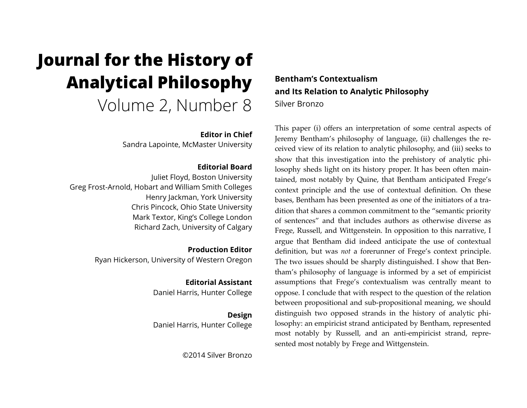# **Journal for the History of Analytical Philosophy**  Volume 2, Number 8

# **Editor in Chief**

Sandra Lapointe, McMaster University

# **Editorial Board**

Juliet Floyd, Boston University Greg Frost-Arnold, Hobart and William Smith Colleges Henry Jackman, York University Chris Pincock, Ohio State University Mark Textor, King's College London Richard Zach, University of Calgary

> **Production Editor** Ryan Hickerson, University of Western Oregon

# **Editorial Assistant**

Daniel Harris, Hunter College

## **Design** Daniel Harris, Hunter College

©2014 Silver Bronzo

# **Bentham's Contextualism and Its Relation to Analytic Philosophy** Silver Bronzo

This paper (i) offers an interpretation of some central aspects of Jeremy Bentham's philosophy of language, (ii) challenges the received view of its relation to analytic philosophy, and (iii) seeks to show that this investigation into the prehistory of analytic philosophy sheds light on its history proper. It has been often maintained, most notably by Quine, that Bentham anticipated Frege's context principle and the use of contextual definition. On these bases, Bentham has been presented as one of the initiators of a tradition that shares a common commitment to the "semantic priority of sentences" and that includes authors as otherwise diverse as Frege, Russell, and Wittgenstein. In opposition to this narrative, I argue that Bentham did indeed anticipate the use of contextual definition, but was *not* a forerunner of Frege's context principle. The two issues should be sharply distinguished. I show that Bentham's philosophy of language is informed by a set of empiricist assumptions that Frege's contextualism was centrally meant to oppose. I conclude that with respect to the question of the relation between propositional and sub-propositional meaning, we should distinguish two opposed strands in the history of analytic philosophy: an empiricist strand anticipated by Bentham, represented most notably by Russell, and an anti-empiricist strand, represented most notably by Frege and Wittgenstein.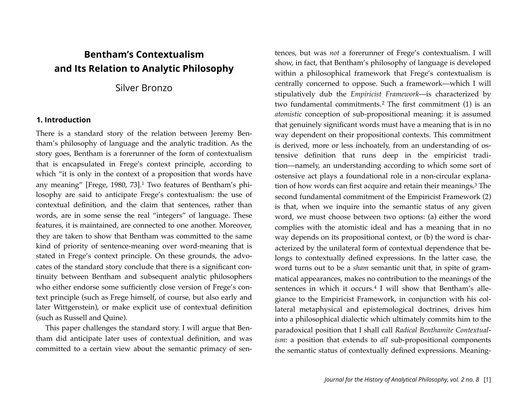# **Bentham's Contextualism and Its Relation to Analytic Philosophy**

# Silver Bronzo

#### **1. Introduction**

There is a standard story of the relation between Jeremy Bentham's philosophy of language and the analytic tradition. As the story goes, Bentham is a forerunner of the form of contextualism that is encapsulated in Frege's context principle, according to which "it is only in the context of a proposition that words have any meaning" [Frege, 1980, 73].[1](#page-27-0) Two features of Bentham's philosophy are said to anticipate Frege's contextualism: the use of contextual definition, and the claim that sentences, rather than words, are in some sense the real "integers" of language. These features, it is maintained, are connected to one another. Moreover, they are taken to show that Bentham was committed to the same kind of priority of sentence-meaning over word-meaning that is stated in Frege's context principle. On these grounds, the advocates of the standard story conclude that there is a significant continuity between Bentham and subsequent analytic philosophers who either endorse some sufficiently close version of Frege's context principle (such as Frege himself, of course, but also early and later Wittgenstein), or make explicit use of contextual definition (such as Russell and Quine).

This paper challenges the standard story. I will argue that Bentham did anticipate later uses of contextual definition, and was committed to a certain view about the semantic primacy of sentences, but was *not* a forerunner of Frege's contextualism. I will show, in fact, that Bentham's philosophy of language is developed within a philosophical framework that Frege's contextualism is centrally concerned to oppose. Such a framework—which I will stipulatively dub the *Empiricist Framework*—is characterized by two fundamental commitments.[2](#page-27-1) The first commitment (1) is an *atomistic* conception of sub-propositional meaning: it is assumed that genuinely significant words must have a meaning that is in no way dependent on their propositional contexts. This commitment is derived, more or less inchoately, from an understanding of ostensive definition that runs deep in the empiricist tradition—namely, an understanding according to which some sort of ostensive act plays a foundational role in a non-circular explanation of how words can first acquire and retain their meanings[.3](#page-27-2) The second fundamental commitment of the Empiricist Framework (2) is that, when we inquire into the semantic status of any given word, we must choose between two options: (a) either the word complies with the atomistic ideal and has a meaning that in no way depends on its propositional context, or (b) the word is characterized by the unilateral form of contextual dependence that belongs to contextually defined expressions. In the latter case, the word turns out to be a *sham* semantic unit that, in spite of grammatical appearances, makes no contribution to the meanings of the sentences in which it occurs.<sup>[4](#page-27-3)</sup> I will show that Bentham's allegiance to the Empiricist Framework, in conjunction with his collateral metaphysical and epistemological doctrines, drives him into a philosophical dialectic which ultimately commits him to the paradoxical position that I shall call *Radical Benthamite Contextualism*: a position that extends to *all* sub-propositional components the semantic status of contextually defined expressions. Meaning-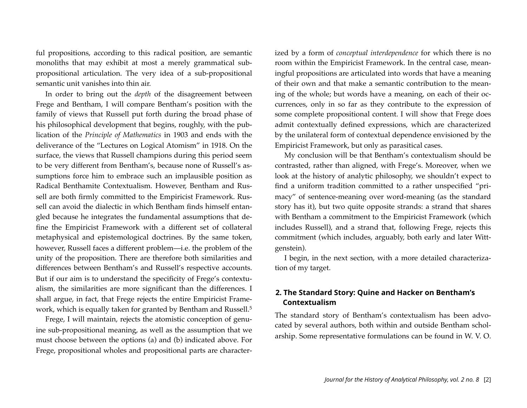ful propositions, according to this radical position, are semantic monoliths that may exhibit at most a merely grammatical subpropositional articulation. The very idea of a sub-propositional semantic unit vanishes into thin air.

In order to bring out the *depth* of the disagreement between Frege and Bentham, I will compare Bentham's position with the family of views that Russell put forth during the broad phase of his philosophical development that begins, roughly, with the publication of the *Principle of Mathematics* in 1903 and ends with the deliverance of the "Lectures on Logical Atomism" in 1918. On the surface, the views that Russell champions during this period seem to be very different from Bentham's, because none of Russell's assumptions force him to embrace such an implausible position as Radical Benthamite Contextualism. However, Bentham and Russell are both firmly committed to the Empiricist Framework. Russell can avoid the dialectic in which Bentham finds himself entangled because he integrates the fundamental assumptions that define the Empiricist Framework with a different set of collateral metaphysical and epistemological doctrines. By the same token, however, Russell faces a different problem—i.e. the problem of the unity of the proposition. There are therefore both similarities and differences between Bentham's and Russell's respective accounts. But if our aim is to understand the specificity of Frege's contextualism, the similarities are more significant than the differences. I shall argue, in fact, that Frege rejects the entire Empiricist Frame-work, which is equally taken for granted by Bentham and Russell.<sup>[5](#page-28-0)</sup>

Frege, I will maintain, rejects the atomistic conception of genuine sub-propositional meaning, as well as the assumption that we must choose between the options (a) and (b) indicated above. For Frege, propositional wholes and propositional parts are characterized by a form of *conceptual interdependence* for which there is no room within the Empiricist Framework. In the central case, meaningful propositions are articulated into words that have a meaning of their own and that make a semantic contribution to the meaning of the whole; but words have a meaning, on each of their occurrences, only in so far as they contribute to the expression of some complete propositional content. I will show that Frege does admit contextually defined expressions, which are characterized by the unilateral form of contextual dependence envisioned by the Empiricist Framework, but only as parasitical cases.

My conclusion will be that Bentham's contextualism should be contrasted, rather than aligned, with Frege's. Moreover, when we look at the history of analytic philosophy, we shouldn't expect to find a uniform tradition committed to a rather unspecified "primacy" of sentence-meaning over word-meaning (as the standard story has it), but two quite opposite strands: a strand that shares with Bentham a commitment to the Empiricist Framework (which includes Russell), and a strand that, following Frege, rejects this commitment (which includes, arguably, both early and later Wittgenstein).

I begin, in the next section, with a more detailed characterization of my target.

# **2. The Standard Story: Quine and Hacker on Bentham's Contextualism**

The standard story of Bentham's contextualism has been advocated by several authors, both within and outside Bentham scholarship. Some representative formulations can be found in W. V. O.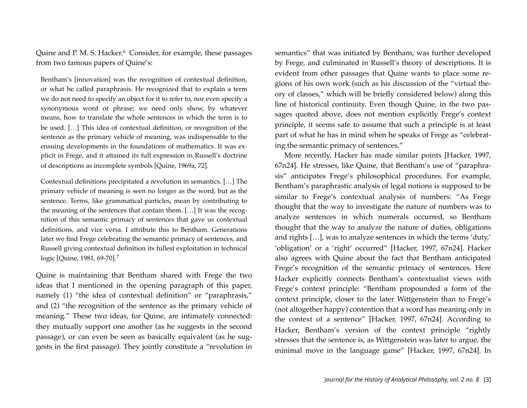Quine and P. M. S. Hacker.<sup>[6](#page-28-1)</sup> Consider, for example, these passages from two famous papers of Quine's:

Bentham's [innovation] was the recognition of contextual definition, or what he called paraphrasis. He recognized that to explain a term we do not need to specify an object for it to refer to, nor even specify a synonymous word or phrase; we need only show, by whatever means, how to translate the whole sentences in which the term is to be used. […] This idea of contextual definition, or recognition of the sentence as the primary vehicle of meaning, was indispensable to the ensuing developments in the foundations of mathematics. It was explicit in Frege, and it attained its full expression in Russell's doctrine of descriptions as incomplete symbols [Quine, 1969a, 72].

Contextual definitions precipitated a revolution in semantics. […] The primary vehicle of meaning is seen no longer as the word, but as the sentence. Terms, like grammatical particles, mean by contributing to the meaning of the sentences that contain them. […] It was the recognition of this semantic primacy of sentences that gave us contextual definitions, and vice versa. I attribute this to Bentham. Generations later we find Frege celebrating the semantic primacy of sentences, and Russell giving contextual definition its fullest exploitation in technical logic [Quine, 1981, 69-70].[7](#page-28-2)

Quine is maintaining that Bentham shared with Frege the two ideas that I mentioned in the opening paragraph of this paper, namely (1) "the idea of contextual definition" or "paraphrasis," and (2) "the recognition of the sentence as the primary vehicle of meaning." These two ideas, for Quine, are intimately connected: they mutually support one another (as he suggests in the second passage), or can even be seen as basically equivalent (as he suggests in the first passage). They jointly constitute a "revolution in semantics" that was initiated by Bentham, was further developed by Frege, and culminated in Russell's theory of descriptions. It is evident from other passages that Quine wants to place some regions of his own work (such as his discussion of the "virtual theory of classes," which will be briefly considered below) along this line of historical continuity. Even though Quine, in the two passages quoted above, does not mention explicitly Frege's context principle, it seems safe to assume that such a principle is at least part of what he has in mind when he speaks of Frege as "celebrating the semantic primacy of sentences."

More recently, Hacker has made similar points [Hacker, 1997, 67n24]. He stresses, like Quine, that Bentham's use of "paraphrasis" anticipates Frege's philosophical procedures. For example, Bentham's paraphrastic analysis of legal notions is supposed to be similar to Frege's contextual analysis of numbers: "As Frege thought that the way to investigate the nature of numbers was to analyze sentences in which numerals occurred, so Bentham thought that the way to analyze the nature of duties, obligations and rights […], was to analyze sentences in which the terms 'duty,' 'obligation' or a 'right' occurred" [Hacker, 1997, 67n24]. Hacker also agrees with Quine about the fact that Bentham anticipated Frege's recognition of the semantic primacy of sentences. Here Hacker explicitly connects Bentham's contextualist views with Frege's context principle: "Bentham propounded a form of the context principle, closer to the later Wittgenstein than to Frege's (not altogether happy) contention that a word has meaning only in the context of a sentence" [Hacker, 1997, 67n24]. According to Hacker, Bentham's version of the context principle "rightly stresses that the sentence is, as Wittgenstein was later to argue, the minimal move in the language game" [Hacker, 1997, 67n24]. In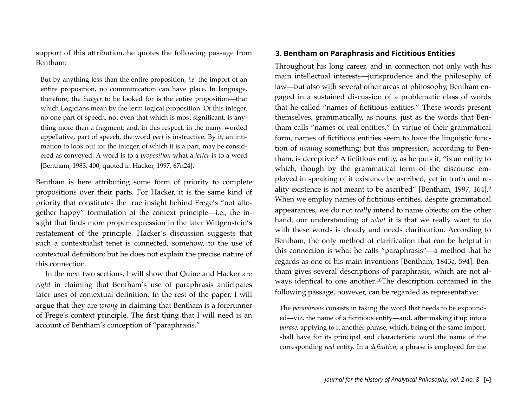support of this attribution, he quotes the following passage from Bentham:

But by anything less than the entire proposition, *i.e.* the import of an entire proposition, no communication can have place. In language, therefore, the *integer* to be looked for is the entire proposition—that which Logicians mean by the term logical proposition. Of this integer, no one part of speech, not even that which is most significant, is anything more than a fragment; and, in this respect, in the many-worded appellative, part of speech, the word *part* is instructive. By it, an intimation to look out for the integer, of which it is a part, may be considered as conveyed. A word is to a *proposition* what a *letter* is to a word [Bentham, 1983, 400; quoted in Hacker, 1997, 67n24].

Bentham is here attributing some form of priority to complete propositions over their parts. For Hacker, it is the same kind of priority that constitutes the true insight behind Frege's "not altogether happy" formulation of the context principle—i.e., the insight that finds more proper expression in the later Wittgenstein's restatement of the principle. Hacker's discussion suggests that such a contextualist tenet is connected, somehow, to the use of contextual definition; but he does not explain the precise nature of this connection.

In the next two sections, I will show that Quine and Hacker are *right* in claiming that Bentham's use of paraphrasis anticipates later uses of contextual definition. In the rest of the paper, I will argue that they are *wrong* in claiming that Bentham is a forerunner of Frege's context principle. The first thing that I will need is an account of Bentham's conception of "paraphrasis."

#### **3. Bentham on Paraphrasis and Fictitious Entities**

Throughout his long career, and in connection not only with his main intellectual interests—jurisprudence and the philosophy of law—but also with several other areas of philosophy, Bentham engaged in a sustained discussion of a problematic class of words that he called "names of fictitious entities." These words present themselves, grammatically, as nouns, just as the words that Bentham calls "names of real entities." In virtue of their grammatical form, names of fictitious entities seem to have the linguistic function of *naming* something; but this impression, according to Bentham, is deceptive. $8$  A fictitious entity, as he puts it, "is an entity to which, though by the grammatical form of the discourse employed in speaking of it existence be ascribed, yet in truth and reality existence is not meant to be ascribed" [Bentham, 1997, 164][.9](#page-29-1) When we employ names of fictitious entities, despite grammatical appearances, we do not *really* intend to name objects; on the other hand, our understanding of *what* it is that we really want to do with these words is cloudy and needs clarification. According to Bentham, the only method of clarification that can be helpful in this connection is what he calls "paraphrasis"—a method that he regards as one of his main inventions [Bentham, 1843c, 594]. Bentham gives several descriptions of paraphrasis, which are not al-ways identical to one another.<sup>[10](#page-29-2)</sup>The description contained in the following passage, however, can be regarded as representative:

The *paraphrasis* consists in taking the word that needs to be expounded—viz. the name of a fictitious entity—and, after making it up into a *phrase*, applying to it another phrase, which, being of the same import, shall have for its principal and characteristic word the name of the corresponding *real* entity. In a *definition*, a phrase is employed for the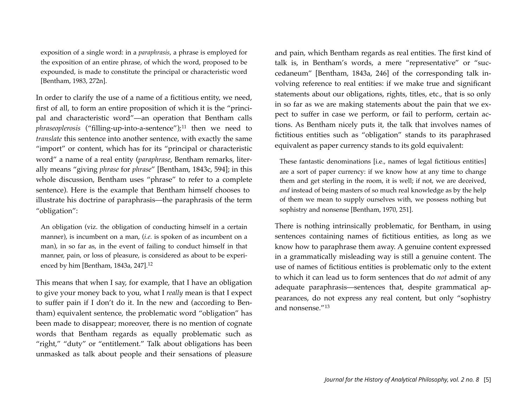exposition of a single word: in a *paraphrasis*, a phrase is employed for the exposition of an entire phrase, of which the word, proposed to be expounded, is made to constitute the principal or characteristic word [Bentham, 1983, 272n].

In order to clarify the use of a name of a fictitious entity, we need, first of all, to form an entire proposition of which it is the "principal and characteristic word"—an operation that Bentham calls *phraseoplerosis* ("filling-up-into-a-sentence");<sup>[11](#page-29-3)</sup> then we need to *translate* this sentence into another sentence, with exactly the same "import" or content, which has for its "principal or characteristic word" a name of a real entity (*paraphrase*, Bentham remarks, literally means "giving *phrase* for *phrase*" [Bentham, 1843c, 594]; in this whole discussion, Bentham uses "phrase" to refer to a complete sentence). Here is the example that Bentham himself chooses to illustrate his doctrine of paraphrasis—the paraphrasis of the term "obligation":

An obligation (viz. the obligation of conducting himself in a certain manner), is incumbent on a man, (*i.e.* is spoken of as incumbent on a man), in so far as, in the event of failing to conduct himself in that manner, pain, or loss of pleasure, is considered as about to be experienced by him [Bentham, 1843a, 247].[12](#page-29-4)

This means that when I say, for example, that I have an obligation to give your money back to you, what I *really* mean is that I expect to suffer pain if I don't do it. In the new and (according to Bentham) equivalent sentence, the problematic word "obligation" has been made to disappear; moreover, there is no mention of cognate words that Bentham regards as equally problematic such as "right," "duty" or "entitlement." Talk about obligations has been unmasked as talk about people and their sensations of pleasure and pain, which Bentham regards as real entities. The first kind of talk is, in Bentham's words, a mere "representative" or "succedaneum" [Bentham, 1843a, 246] of the corresponding talk involving reference to real entities: if we make true and significant statements about our obligations, rights, titles, etc., that is so only in so far as we are making statements about the pain that we expect to suffer in case we perform, or fail to perform, certain actions. As Bentham nicely puts it, the talk that involves names of fictitious entities such as "obligation" stands to its paraphrased equivalent as paper currency stands to its gold equivalent:

These fantastic denominations [i.e., names of legal fictitious entities] are a sort of paper currency: if we know how at any time to change them and get sterling in the room, it is well; if not, we are deceived, *and* instead of being masters of so much real knowledge as by the help of them we mean to supply ourselves with, we possess nothing but sophistry and nonsense [Bentham, 1970, 251].

There is nothing intrinsically problematic, for Bentham, in using sentences containing names of fictitious entities, as long as we know how to paraphrase them away. A genuine content expressed in a grammatically misleading way is still a genuine content. The use of names of fictitious entities is problematic only to the extent to which it can lead us to form sentences that do *not* admit of any adequate paraphrasis—sentences that, despite grammatical appearances, do not express any real content, but only "sophistry and nonsense."[13](#page-29-5)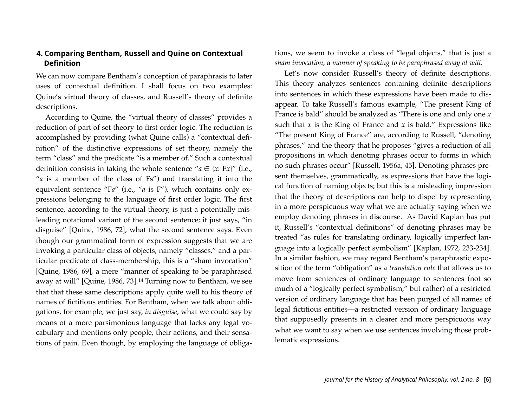## **4. Comparing Bentham, Russell and Quine on Contextual Definition**

We can now compare Bentham's conception of paraphrasis to later uses of contextual definition. I shall focus on two examples: Quine's virtual theory of classes, and Russell's theory of definite descriptions.

According to Quine, the "virtual theory of classes" provides a reduction of part of set theory to first order logic. The reduction is accomplished by providing (what Quine calls) a "contextual definition" of the distinctive expressions of set theory, namely the term "class" and the predicate "is a member of." Such a contextual definition consists in taking the whole sentence " $a \in \{x: Fx\}$ " (i.e., "*a* is a member of the class of Fs") and translating it into the equivalent sentence "Fa" (i.e., "a is F"), which contains only expressions belonging to the language of first order logic. The first sentence, according to the virtual theory, is just a potentially misleading notational variant of the second sentence; it just says, "in disguise" [Quine, 1986, 72], what the second sentence says. Even though our grammatical form of expression suggests that we are invoking a particular class of objects, namely "classes," and a particular predicate of class-membership, this is a "sham invocation" [Quine, 1986, 69], a mere "manner of speaking to be paraphrased away at will" [Quine, 1986, 73].[14](#page-30-0) Turning now to Bentham, we see that that these same descriptions apply quite well to his theory of names of fictitious entities. For Bentham, when we talk about obligations, for example, we just say, *in disguise*, what we could say by means of a more parsimonious language that lacks any legal vocabulary and mentions only people, their actions, and their sensations of pain. Even though, by employing the language of obligations, we seem to invoke a class of "legal objects," that is just a *sham invocation*, a *manner of speaking to be paraphrased away at will*.

Let's now consider Russell's theory of definite descriptions. This theory analyzes sentences containing definite descriptions into sentences in which these expressions have been made to disappear. To take Russell's famous example, "The present King of France is bald" should be analyzed as "There is one and only one *x* such that  $x$  is the King of France and  $x$  is bald." Expressions like "The present King of France" are, according to Russell, "denoting phrases," and the theory that he proposes "gives a reduction of all propositions in which denoting phrases occur to forms in which no such phrases occur" [Russell, 1956a, 45]. Denoting phrases present themselves, grammatically, as expressions that have the logical function of naming objects; but this is a misleading impression that the theory of descriptions can help to dispel by representing in a more perspicuous way what we are actually saying when we employ denoting phrases in discourse. As David Kaplan has put it, Russell's "contextual definitions" of denoting phrases may be treated "as rules for translating ordinary, logically imperfect language into a logically perfect symbolism" [Kaplan, 1972, 233-234]. In a similar fashion, we may regard Bentham's paraphrastic exposition of the term "obligation" as a *translation rule* that allows us to move from sentences of ordinary language to sentences (not so much of a "logically perfect symbolism," but rather) of a restricted version of ordinary language that has been purged of all names of legal fictitious entities—a restricted version of ordinary language that supposedly presents in a clearer and more perspicuous way what we want to say when we use sentences involving those problematic expressions.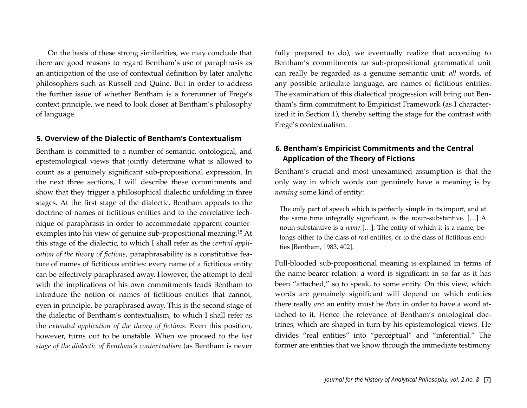On the basis of these strong similarities, we may conclude that there are good reasons to regard Bentham's use of paraphrasis as an anticipation of the use of contextual definition by later analytic philosophers such as Russell and Quine. But in order to address the further issue of whether Bentham is a forerunner of Frege's context principle, we need to look closer at Bentham's philosophy of language.

#### **5. Overview of the Dialectic of Bentham's Contextualism**

Bentham is committed to a number of semantic, ontological, and epistemological views that jointly determine what is allowed to count as a genuinely significant sub-propositional expression. In the next three sections, I will describe these commitments and show that they trigger a philosophical dialectic unfolding in three stages. At the first stage of the dialectic, Bentham appeals to the doctrine of names of fictitious entities and to the correlative technique of paraphrasis in order to accommodate apparent counterexamples into his view of genuine sub-propositional meaning[.15](#page-31-0) At this stage of the dialectic, to which I shall refer as the *central application of the theory of fictions*, paraphrasability is a constitutive feature of names of fictitious entities: every name of a fictitious entity can be effectively paraphrased away. However, the attempt to deal with the implications of his own commitments leads Bentham to introduce the notion of names of fictitious entities that cannot, even in principle, be paraphrased away. This is the second stage of the dialectic of Bentham's contextualism, to which I shall refer as the *extended application of the theory of fictions*. Even this position, however, turns out to be unstable. When we proceed to the *last stage of the dialectic of Bentham's contextualism* (as Bentham is never fully prepared to do), we eventually realize that according to Bentham's commitments *no* sub-propositional grammatical unit can really be regarded as a genuine semantic unit: *all* words, of any possible articulate language, are names of fictitious entities. The examination of this dialectical progression will bring out Bentham's firm commitment to Empiricist Framework (as I characterized it in Section 1), thereby setting the stage for the contrast with Frege's contextualism.

## **6. Bentham's Empiricist Commitments and the Central Application of the Theory of Fictions**

Bentham's crucial and most unexamined assumption is that the only way in which words can genuinely have a meaning is by *naming* some kind of entity:

The only part of speech which is perfectly simple in its import, and at the same time integrally significant, is the noun-substantive. […] A noun-substantive is a *name* […]. The entity of which it is a name, belongs either to the class of *real* entities, or to the class of fictitious entities [Bentham, 1983, 402].

Full-blooded sub-propositional meaning is explained in terms of the name-bearer relation: a word is significant in so far as it has been "attached," so to speak, to some entity. On this view, which words are genuinely significant will depend on which entities there really *are*: an entity must be *there* in order to have a word attached to it. Hence the relevance of Bentham's ontological doctrines, which are shaped in turn by his epistemological views. He divides "real entities" into "perceptual" and "inferential." The former are entities that we know through the immediate testimony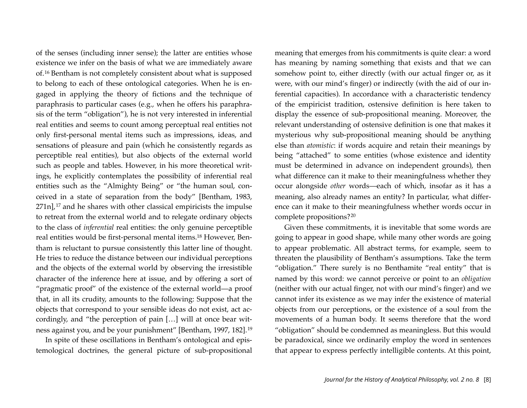of the senses (including inner sense); the latter are entities whose existence we infer on the basis of what we are immediately aware of.[16](#page-31-1) Bentham is not completely consistent about what is supposed to belong to each of these ontological categories. When he is engaged in applying the theory of fictions and the technique of paraphrasis to particular cases (e.g., when he offers his paraphrasis of the term "obligation"), he is not very interested in inferential real entities and seems to count among perceptual real entities not only first-personal mental items such as impressions, ideas, and sensations of pleasure and pain (which he consistently regards as perceptible real entities), but also objects of the external world such as people and tables. However, in his more theoretical writings, he explicitly contemplates the possibility of inferential real entities such as the "Almighty Being" or "the human soul, conceived in a state of separation from the body" [Bentham, 1983,  $271n$ ,  $17$  and he shares with other classical empiricists the impulse to retreat from the external world and to relegate ordinary objects to the class of *inferential* real entities: the only genuine perceptible real entities would be first-personal mental items[.18](#page-31-3) However, Bentham is reluctant to pursue consistently this latter line of thought. He tries to reduce the distance between our individual perceptions and the objects of the external world by observing the irresistible character of the inference here at issue, and by offering a sort of "pragmatic proof" of the existence of the external world—a proof that, in all its crudity, amounts to the following: Suppose that the objects that correspond to your sensible ideas do not exist, act accordingly, and "the perception of pain […] will at once bear witness against you, and be your punishment" [Bentham, 1997, 182].[19](#page-31-4)

In spite of these oscillations in Bentham's ontological and epistemological doctrines, the general picture of sub-propositional meaning that emerges from his commitments is quite clear: a word has meaning by naming something that exists and that we can somehow point to, either directly (with our actual finger or, as it were, with our mind's finger) or indirectly (with the aid of our inferential capacities). In accordance with a characteristic tendency of the empiricist tradition, ostensive definition is here taken to display the essence of sub-propositional meaning. Moreover, the relevant understanding of ostensive definition is one that makes it mysterious why sub-propositional meaning should be anything else than *atomistic*: if words acquire and retain their meanings by being "attached" to some entities (whose existence and identity must be determined in advance on independent grounds), then what difference can it make to their meaningfulness whether they occur alongside *other* words—each of which, insofar as it has a meaning, also already names an entity? In particular, what difference can it make to their meaningfulness whether words occur in complete propositions?[20](#page-31-5)

Given these commitments, it is inevitable that some words are going to appear in good shape, while many other words are going to appear problematic. All abstract terms, for example, seem to threaten the plausibility of Bentham's assumptions. Take the term "obligation." There surely is no Benthamite "real entity" that is named by this word: we cannot perceive or point to an *obligation* (neither with our actual finger, not with our mind's finger) and we cannot infer its existence as we may infer the existence of material objects from our perceptions, or the existence of a soul from the movements of a human body. It seems therefore that the word "obligation" should be condemned as meaningless. But this would be paradoxical, since we ordinarily employ the word in sentences that appear to express perfectly intelligible contents. At this point,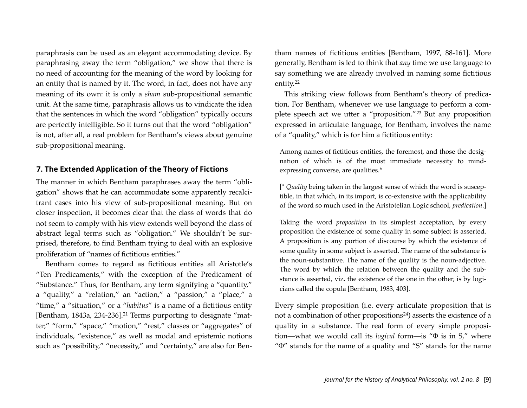paraphrasis can be used as an elegant accommodating device. By paraphrasing away the term "obligation," we show that there is no need of accounting for the meaning of the word by looking for an entity that is named by it. The word, in fact, does not have any meaning of its own: it is only a *sham* sub-propositional semantic unit. At the same time, paraphrasis allows us to vindicate the idea that the sentences in which the word "obligation" typically occurs are perfectly intelligible. So it turns out that the word "obligation" is not, after all, a real problem for Bentham's views about genuine sub-propositional meaning.

#### **7. The Extended Application of the Theory of Fictions**

The manner in which Bentham paraphrases away the term "obligation" shows that he can accommodate some apparently recalcitrant cases into his view of sub-propositional meaning. But on closer inspection, it becomes clear that the class of words that do not seem to comply with his view extends well beyond the class of abstract legal terms such as "obligation." We shouldn't be surprised, therefore, to find Bentham trying to deal with an explosive proliferation of "names of fictitious entities."

Bentham comes to regard as fictitious entities all Aristotle's "Ten Predicaments," with the exception of the Predicament of "Substance." Thus, for Bentham, any term signifying a "quantity," a "quality," a "relation," an "action," a "passion," a "place," a "time," a "situation," or a "*habitus*" is a name of a fictitious entity [Bentham, 1843a, 234-236].[21](#page-31-6) Terms purporting to designate "matter," "form," "space," "motion," "rest," classes or "aggregates" of individuals, "existence," as well as modal and epistemic notions such as "possibility," "necessity," and "certainty," are also for Ben-

tham names of fictitious entities [Bentham, 1997, 88-161]. More generally, Bentham is led to think that *any* time we use language to say something we are already involved in naming some fictitious entity.[22](#page-31-7)

This striking view follows from Bentham's theory of predication. For Bentham, whenever we use language to perform a complete speech act we utter a "proposition."[23](#page-31-8) But any proposition expressed in articulate language, for Bentham, involves the name of a "quality," which is for him a fictitious entity:

Among names of fictitious entities, the foremost, and those the designation of which is of the most immediate necessity to mindexpressing converse, are qualities.\*

[\* *Quality* being taken in the largest sense of which the word is susceptible, in that which, in its import, is co-extensive with the applicability of the word so much used in the Aristotelian Logic school, *predication*.]

Taking the word *proposition* in its simplest acceptation, by every proposition the existence of some quality in some subject is asserted. A proposition is any portion of discourse by which the existence of some quality in some subject is asserted. The name of the substance is the noun-substantive. The name of the quality is the noun-adjective. The word by which the relation between the quality and the substance is asserted, viz. the existence of the one in the other, is by logicians called the copula [Bentham, 1983, 403].

Every simple proposition (i.e. every articulate proposition that is not a combination of other propositions<sup>[24](#page-31-9)</sup>) asserts the existence of a quality in a substance. The real form of every simple proposition—what we would call its *logical* form—is "Φ is in S," where "Φ" stands for the name of a quality and "S" stands for the name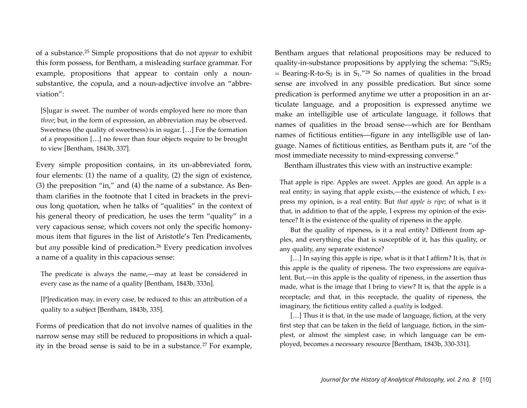of a substance.[25](#page-31-10) Simple propositions that do not *appear* to exhibit this form possess, for Bentham, a misleading surface grammar. For example, propositions that appear to contain only a nounsubstantive, the copula, and a noun-adjective involve an "abbreviation":

[S]ugar is sweet. The number of words employed here no more than *three*; but, in the form of expression, an abbreviation may be observed. Sweetness (the quality of sweetness) is in sugar. […] For the formation of a proposition […] no fewer than four objects require to be brought to view [Bentham, 1843b, 337].

Every simple proposition contains, in its un-abbreviated form, four elements: (1) the name of a quality, (2) the sign of existence, (3) the preposition "in," and (4) the name of a substance. As Bentham clarifies in the footnote that I cited in brackets in the previous long quotation, when he talks of "qualities" in the context of his general theory of predication, he uses the term "quality" in a very capacious sense, which covers not only the specific homonymous item that figures in the list of Aristotle's Ten Predicaments, but *any* possible kind of predication.<sup>26</sup> Every predication involves a name of a quality in this capacious sense:

The predicate is always the name,—may at least be considered in every case as the name of a quality [Bentham, 1843b, 333n].

[P]redication may, in every case, be reduced to this: an attribution of a quality to a subject [Bentham, 1843b, 335].

Forms of predication that do not involve names of qualities in the narrow sense may still be reduced to propositions in which a qual-ity in the broad sense is said to be in a substance.<sup>[27](#page-31-12)</sup> For example,

Bentham argues that relational propositions may be reduced to quality-in-substance propositions by applying the schema:  $S_1RS_2$  $=$  Bearing-R-to-S<sub>2</sub> is in S<sub>1</sub>.<sup>["28](#page-32-0)</sup> So names of qualities in the broad sense are involved in any possible predication. But since some predication is performed anytime we utter a proposition in an articulate language, and a proposition is expressed anytime we make an intelligible use of articulate language, it follows that names of qualities in the broad sense—which are for Bentham names of fictitious entities—figure in any intelligible use of language. Names of fictitious entities, as Bentham puts it, are "of the most immediate necessity to mind-expressing converse."

Bentham illustrates this view with an instructive example:

That apple is ripe. Apples are sweet. Apples are good. An apple is a real entity; in saying that apple exists,—the existence of which, I express my opinion, is a real entity. But *that apple is ripe*; of what is it that, in addition to that of the apple, I express my opinion of the existence? It is the existence of the quality of ripeness in the apple.

But the quality of ripeness, is it a real entity? Different from apples, and everything else that is susceptible of it, has this quality, or any quality, any separate existence?

[…] In saying this apple is ripe, what is it that I affirm? It is, that *in* this apple is the quality of ripeness. The two expressions are equivalent. But,—in this apple is the quality of ripeness, in the assertion thus made, what is the image that I bring to view? It is, that the apple is a receptacle; and that, in this receptacle, the quality of ripeness, the imaginary, the fictitious entity called a *quality* is lodged.

[...] Thus it is that, in the use made of language, fiction, at the very first step that can be taken in the field of language, fiction, in the simplest, or almost the simplest case, in which language can be employed, becomes a necessary resource [Bentham, 1843b, 330-331].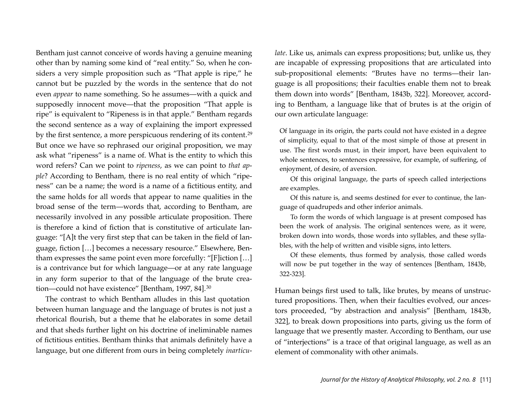Bentham just cannot conceive of words having a genuine meaning other than by naming some kind of "real entity." So, when he considers a very simple proposition such as "That apple is ripe," he cannot but be puzzled by the words in the sentence that do not even *appear* to name something. So he assumes—with a quick and supposedly innocent move—that the proposition "That apple is ripe" is equivalent to "Ripeness is in that apple." Bentham regards the second sentence as a way of explaining the import expressed by the first sentence, a more perspicuous rendering of its content.[29](#page-32-1) But once we have so rephrased our original proposition, we may ask what "ripeness" is a name of. What is the entity to which this word refers? Can we point to *ripeness*, as we can point to *that apple*? According to Bentham, there is no real entity of which "ripeness" can be a name; the word is a name of a fictitious entity, and the same holds for all words that appear to name qualities in the broad sense of the term—words that, according to Bentham, are necessarily involved in any possible articulate proposition. There is therefore a kind of fiction that is constitutive of articulate language: "[A]t the very first step that can be taken in the field of language, fiction […] becomes a necessary resource." Elsewhere, Bentham expresses the same point even more forcefully: "[F]iction […] is a contrivance but for which language—or at any rate language in any form superior to that of the language of the brute crea-tion—could not have existence" [Bentham, 1997, 84].<sup>[30](#page-32-2)</sup>

The contrast to which Bentham alludes in this last quotation between human language and the language of brutes is not just a rhetorical flourish, but a theme that he elaborates in some detail and that sheds further light on his doctrine of ineliminable names of fictitious entities. Bentham thinks that animals definitely have a language, but one different from ours in being completely *inarticu-* *late*. Like us, animals can express propositions; but, unlike us, they are incapable of expressing propositions that are articulated into sub-propositional elements: "Brutes have no terms—their language is all propositions; their faculties enable them not to break them down into words" [Bentham, 1843b, 322]. Moreover, according to Bentham, a language like that of brutes is at the origin of our own articulate language:

Of language in its origin, the parts could not have existed in a degree of simplicity, equal to that of the most simple of those at present in use. The first words must, in their import, have been equivalent to whole sentences, to sentences expressive, for example, of suffering, of enjoyment, of desire, of aversion.

Of this original language, the parts of speech called interjections are examples.

Of this nature is, and seems destined for ever to continue, the language of quadrupeds and other inferior animals.

To form the words of which language is at present composed has been the work of analysis. The original sentences were, as it were, broken down into words, those words into syllables, and these syllables, with the help of written and visible signs, into letters.

Of these elements, thus formed by analysis, those called words will now be put together in the way of sentences [Bentham, 1843b, 322-323].

Human beings first used to talk, like brutes, by means of unstructured propositions. Then, when their faculties evolved, our ancestors proceeded, "by abstraction and analysis" [Bentham, 1843b, 322], to break down propositions into parts, giving us the form of language that we presently master. According to Bentham, our use of "interjections" is a trace of that original language, as well as an element of commonality with other animals.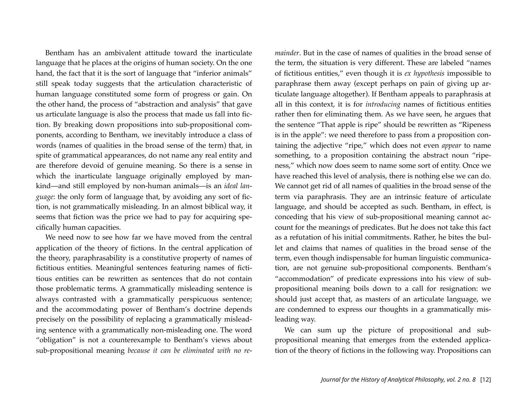Bentham has an ambivalent attitude toward the inarticulate language that he places at the origins of human society. On the one hand, the fact that it is the sort of language that "inferior animals" still speak today suggests that the articulation characteristic of human language constituted some form of progress or gain. On the other hand, the process of "abstraction and analysis" that gave us articulate language is also the process that made us fall into fiction. By breaking down propositions into sub-propositional components, according to Bentham, we inevitably introduce a class of words (names of qualities in the broad sense of the term) that, in spite of grammatical appearances, do not name any real entity and are therefore devoid of genuine meaning. So there is a sense in which the inarticulate language originally employed by mankind—and still employed by non-human animals—is an *ideal language*: the only form of language that, by avoiding any sort of fiction, is not grammatically misleading. In an almost biblical way, it seems that fiction was the price we had to pay for acquiring specifically human capacities.

We need now to see how far we have moved from the central application of the theory of fictions. In the central application of the theory, paraphrasability is a constitutive property of names of fictitious entities. Meaningful sentences featuring names of fictitious entities can be rewritten as sentences that do not contain those problematic terms. A grammatically misleading sentence is always contrasted with a grammatically perspicuous sentence; and the accommodating power of Bentham's doctrine depends precisely on the possibility of replacing a grammatically misleading sentence with a grammatically non-misleading one. The word "obligation" is not a counterexample to Bentham's views about sub-propositional meaning *because it can be eliminated with no re-* *mainder*. But in the case of names of qualities in the broad sense of the term, the situation is very different. These are labeled "names of fictitious entities," even though it is *ex hypothesis* impossible to paraphrase them away (except perhaps on pain of giving up articulate language altogether). If Bentham appeals to paraphrasis at all in this context, it is for *introducing* names of fictitious entities rather then for eliminating them. As we have seen, he argues that the sentence "That apple is ripe" should be rewritten as "Ripeness is in the apple": we need therefore to pass from a proposition containing the adjective "ripe," which does not even *appear* to name something, to a proposition containing the abstract noun "ripeness," which now does seem to name some sort of entity. Once we have reached this level of analysis, there is nothing else we can do. We cannot get rid of all names of qualities in the broad sense of the term via paraphrasis. They are an intrinsic feature of articulate language, and should be accepted as such. Bentham, in effect, is conceding that his view of sub-propositional meaning cannot account for the meanings of predicates. But he does not take this fact as a refutation of his initial commitments. Rather, he bites the bullet and claims that names of qualities in the broad sense of the term, even though indispensable for human linguistic communication, are not genuine sub-propositional components. Bentham's "accommodation" of predicate expressions into his view of subpropositional meaning boils down to a call for resignation: we should just accept that, as masters of an articulate language, we are condemned to express our thoughts in a grammatically misleading way.

We can sum up the picture of propositional and subpropositional meaning that emerges from the extended application of the theory of fictions in the following way. Propositions can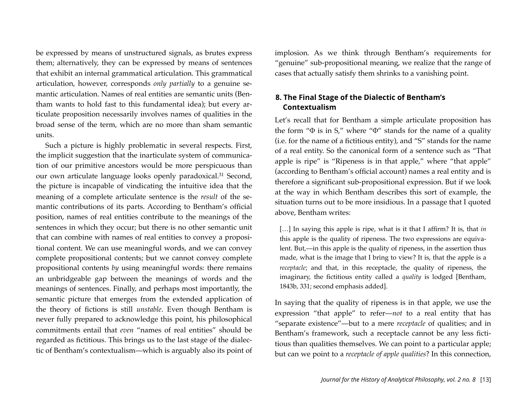be expressed by means of unstructured signals, as brutes express them; alternatively, they can be expressed by means of sentences that exhibit an internal grammatical articulation. This grammatical articulation, however, corresponds *only partially* to a genuine semantic articulation. Names of real entities are semantic units (Bentham wants to hold fast to this fundamental idea); but every articulate proposition necessarily involves names of qualities in the broad sense of the term, which are no more than sham semantic units.

Such a picture is highly problematic in several respects. First, the implicit suggestion that the inarticulate system of communication of our primitive ancestors would be more perspicuous than our own articulate language looks openly paradoxical[.31](#page-32-3) Second, the picture is incapable of vindicating the intuitive idea that the meaning of a complete articulate sentence is the *result* of the semantic contributions of its parts. According to Bentham's official position, names of real entities contribute to the meanings of the sentences in which they occur; but there is no other semantic unit that can combine with names of real entities to convey a propositional content. We can use meaningful words, and we can convey complete propositional contents; but we cannot convey complete propositional contents *by* using meaningful words: there remains an unbridgeable gap between the meanings of words and the meanings of sentences. Finally, and perhaps most importantly, the semantic picture that emerges from the extended application of the theory of fictions is still *unstable*. Even though Bentham is never fully prepared to acknowledge this point, his philosophical commitments entail that *even* "names of real entities" should be regarded as fictitious. This brings us to the last stage of the dialectic of Bentham's contextualism—which is arguably also its point of

implosion. As we think through Bentham's requirements for "genuine" sub-propositional meaning, we realize that the range of cases that actually satisfy them shrinks to a vanishing point.

## **8. The Final Stage of the Dialectic of Bentham's Contextualism**

Let's recall that for Bentham a simple articulate proposition has the form "Φ is in S," where "Φ" stands for the name of a quality (i.e. for the name of a fictitious entity), and "S" stands for the name of a real entity. So the canonical form of a sentence such as "That apple is ripe" is "Ripeness is in that apple," where "that apple" (according to Bentham's official account) names a real entity and is therefore a significant sub-propositional expression. But if we look at the way in which Bentham describes this sort of example, the situation turns out to be more insidious. In a passage that I quoted above, Bentham writes:

[…] In saying this apple is ripe, what is it that I affirm? It is, that *in* this apple is the quality of ripeness. The two expressions are equivalent. But,—in this apple is the quality of ripeness, in the assertion thus made, what is the image that I bring to view? It is, that the apple is a *receptacle*; and that, in this receptacle, the quality of ripeness, the imaginary, the fictitious entity called a *quality* is lodged [Bentham, 1843b, 331; second emphasis added].

In saying that the quality of ripeness is in that apple, we use the expression "that apple" to refer—*not* to a real entity that has "separate existence"—but to a mere *receptacle* of qualities; and in Bentham's framework, such a receptacle cannot be any less fictitious than qualities themselves. We can point to a particular apple; but can we point to a *receptacle of apple qualities*? In this connection,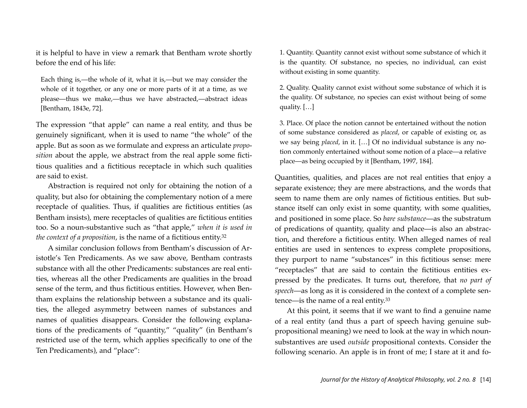it is helpful to have in view a remark that Bentham wrote shortly before the end of his life:

Each thing is,—the whole of it, what it is,—but we may consider the whole of it together, or any one or more parts of it at a time, as we please—thus we make,—thus we have abstracted,—abstract ideas [Bentham, 1843e, 72].

The expression "that apple" can name a real entity, and thus be genuinely significant, when it is used to name "the whole" of the apple. But as soon as we formulate and express an articulate *proposition* about the apple, we abstract from the real apple some fictitious qualities and a fictitious receptacle in which such qualities are said to exist.

Abstraction is required not only for obtaining the notion of a quality, but also for obtaining the complementary notion of a mere receptacle of qualities. Thus, if qualities are fictitious entities (as Bentham insists), mere receptacles of qualities are fictitious entities too. So a noun-substantive such as "that apple," *when it is used in the context of a proposition*, is the name of a fictitious entity[.32](#page-32-4)

A similar conclusion follows from Bentham's discussion of Aristotle's Ten Predicaments. As we saw above, Bentham contrasts substance with all the other Predicaments: substances are real entities, whereas all the other Predicaments are qualities in the broad sense of the term, and thus fictitious entities. However, when Bentham explains the relationship between a substance and its qualities, the alleged asymmetry between names of substances and names of qualities disappears. Consider the following explanations of the predicaments of "quantity," "quality" (in Bentham's restricted use of the term, which applies specifically to one of the Ten Predicaments), and "place":

1. Quantity. Quantity cannot exist without some substance of which it is the quantity. Of substance, no species, no individual, can exist without existing in some quantity.

2. Quality. Quality cannot exist without some substance of which it is the quality. Of substance, no species can exist without being of some quality. […]

3. Place. Of place the notion cannot be entertained without the notion of some substance considered as *placed*, or capable of existing or, as we say being *placed*, in it. […] Of no individual substance is any notion commonly entertained without some notion of a place—a relative place—as being occupied by it [Bentham, 1997, 184].

Quantities, qualities, and places are not real entities that enjoy a separate existence; they are mere abstractions, and the words that seem to name them are only names of fictitious entities. But substance itself can only exist in some quantity, with some qualities, and positioned in some place. So *bare substance*—as the substratum of predications of quantity, quality and place—is also an abstraction, and therefore a fictitious entity. When alleged names of real entities are used in sentences to express complete propositions, they purport to name "substances" in this fictitious sense: mere "receptacles" that are said to contain the fictitious entities expressed by the predicates. It turns out, therefore, that *no part of speech*—as long as it is considered in the context of a complete sentence—is the name of a real entity.[33](#page-33-0)

At this point, it seems that if we want to find a genuine name of a real entity (and thus a part of speech having genuine subpropositional meaning) we need to look at the way in which nounsubstantives are used *outside* propositional contexts. Consider the following scenario. An apple is in front of me; I stare at it and fo-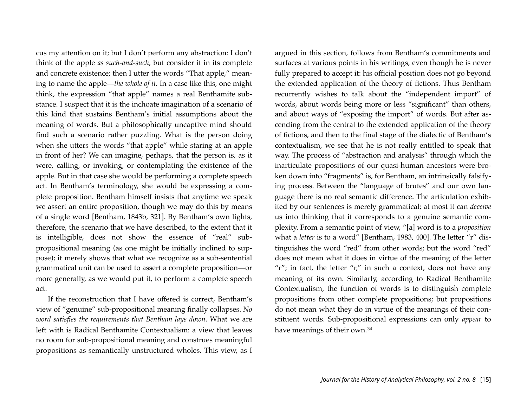cus my attention on it; but I don't perform any abstraction: I don't think of the apple *as such-and-such*, but consider it in its complete and concrete existence; then I utter the words "That apple," meaning to name the apple—*the whole of it*. In a case like this, one might think, the expression "that apple" names a real Benthamite substance. I suspect that it is the inchoate imagination of a scenario of this kind that sustains Bentham's initial assumptions about the meaning of words. But a philosophically uncaptive mind should find such a scenario rather puzzling. What is the person doing when she utters the words "that apple" while staring at an apple in front of her? We can imagine, perhaps, that the person is, as it were, calling, or invoking, or contemplating the existence of the apple. But in that case she would be performing a complete speech act. In Bentham's terminology, she would be expressing a complete proposition. Bentham himself insists that anytime we speak we assert an entire proposition, though we may do this by means of a single word [Bentham, 1843b, 321]. By Bentham's own lights, therefore, the scenario that we have described, to the extent that it is intelligible, does not show the essence of "real" subpropositional meaning (as one might be initially inclined to suppose); it merely shows that what we recognize as a sub-sentential grammatical unit can be used to assert a complete proposition—or more generally, as we would put it, to perform a complete speech act.

If the reconstruction that I have offered is correct, Bentham's view of "genuine" sub-propositional meaning finally collapses. *No word satisfies the requirements that Bentham lays down*. What we are left with is Radical Benthamite Contextualism: a view that leaves no room for sub-propositional meaning and construes meaningful propositions as semantically unstructured wholes. This view, as I

argued in this section, follows from Bentham's commitments and surfaces at various points in his writings, even though he is never fully prepared to accept it: his official position does not go beyond the extended application of the theory of fictions. Thus Bentham recurrently wishes to talk about the "independent import" of words, about words being more or less "significant" than others, and about ways of "exposing the import" of words. But after ascending from the central to the extended application of the theory of fictions, and then to the final stage of the dialectic of Bentham's contextualism, we see that he is not really entitled to speak that way. The process of "abstraction and analysis" through which the inarticulate propositions of our quasi-human ancestors were broken down into "fragments" is, for Bentham, an intrinsically falsifying process. Between the "language of brutes" and our own language there is no real semantic difference. The articulation exhibited by our sentences is merely grammatical; at most it can *deceive* us into thinking that it corresponds to a genuine semantic complexity. From a semantic point of view, "[a] word is to a *proposition* what a *letter* is to a word" [Bentham, 1983, 400]. The letter "r" distinguishes the word "red" from other words; but the word "red" does not mean what it does in virtue of the meaning of the letter "r"; in fact, the letter "r," in such a context, does not have any meaning of its own. Similarly, according to Radical Benthamite Contextualism, the function of words is to distinguish complete propositions from other complete propositions; but propositions do not mean what they do in virtue of the meanings of their constituent words. Sub-propositional expressions can only *appear* to have meanings of their own.[34](#page-33-1)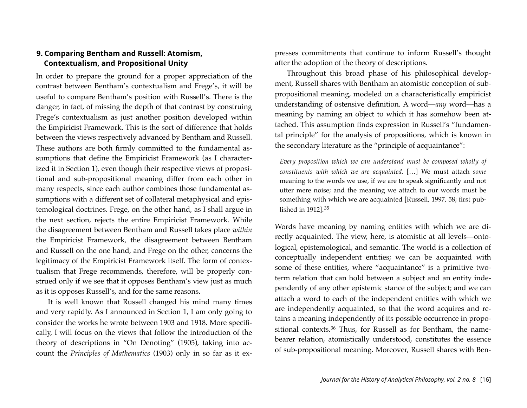# **9. Comparing Bentham and Russell: Atomism, Contextualism, and Propositional Unity**

In order to prepare the ground for a proper appreciation of the contrast between Bentham's contextualism and Frege's, it will be useful to compare Bentham's position with Russell's. There is the danger, in fact, of missing the depth of that contrast by construing Frege's contextualism as just another position developed within the Empiricist Framework. This is the sort of difference that holds between the views respectively advanced by Bentham and Russell. These authors are both firmly committed to the fundamental assumptions that define the Empiricist Framework (as I characterized it in Section 1), even though their respective views of propositional and sub-propositional meaning differ from each other in many respects, since each author combines those fundamental assumptions with a different set of collateral metaphysical and epistemological doctrines. Frege, on the other hand, as I shall argue in the next section, rejects the entire Empiricist Framework. While the disagreement between Bentham and Russell takes place *within*  the Empiricist Framework, the disagreement between Bentham and Russell on the one hand, and Frege on the other, concerns the legitimacy of the Empiricist Framework itself. The form of contextualism that Frege recommends, therefore, will be properly construed only if we see that it opposes Bentham's view just as much as it is opposes Russell's, and for the same reasons.

It is well known that Russell changed his mind many times and very rapidly. As I announced in Section 1, I am only going to consider the works he wrote between 1903 and 1918. More specifically, I will focus on the views that follow the introduction of the theory of descriptions in "On Denoting" (1905), taking into account the *Principles of Mathematics* (1903) only in so far as it expresses commitments that continue to inform Russell's thought after the adoption of the theory of descriptions.

Throughout this broad phase of his philosophical development, Russell shares with Bentham an atomistic conception of subpropositional meaning, modeled on a characteristically empiricist understanding of ostensive definition. A word—*any* word—has a meaning by naming an object to which it has somehow been attached. This assumption finds expression in Russell's "fundamental principle" for the analysis of propositions, which is known in the secondary literature as the "principle of acquaintance":

*Every proposition which we can understand must be composed wholly of constituents with which we are acquainted*. […] We must attach *some* meaning to the words we use, if we are to speak significantly and not utter mere noise; and the meaning we attach to our words must be something with which we are acquainted [Russell, 1997, 58; first published in 1912].[35](#page-33-2)

Words have meaning by naming entities with which we are directly acquainted. The view, here, is atomistic at all levels—ontological, epistemological, and semantic. The world is a collection of conceptually independent entities; we can be acquainted with some of these entities, where "acquaintance" is a primitive twoterm relation that can hold between a subject and an entity independently of any other epistemic stance of the subject; and we can attach a word to each of the independent entities with which we are independently acquainted, so that the word acquires and retains a meaning independently of its possible occurrence in propo-sitional contexts.<sup>[36](#page-33-3)</sup> Thus, for Russell as for Bentham, the namebearer relation, atomistically understood, constitutes the essence of sub-propositional meaning. Moreover, Russell shares with Ben-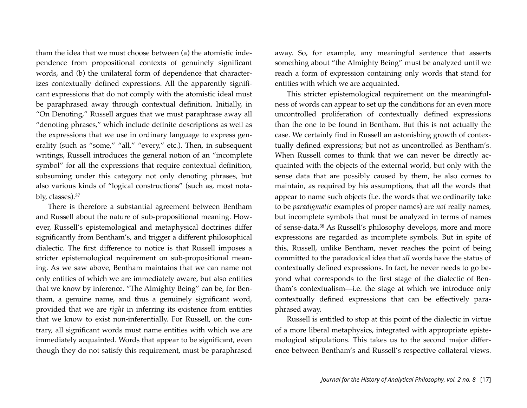tham the idea that we must choose between (a) the atomistic independence from propositional contexts of genuinely significant words, and (b) the unilateral form of dependence that characterizes contextually defined expressions. All the apparently significant expressions that do not comply with the atomistic ideal must be paraphrased away through contextual definition. Initially, in "On Denoting," Russell argues that we must paraphrase away all "denoting phrases," which include definite descriptions as well as the expressions that we use in ordinary language to express generality (such as "some," "all," "every," etc.). Then, in subsequent writings, Russell introduces the general notion of an "incomplete symbol" for all the expressions that require contextual definition, subsuming under this category not only denoting phrases, but also various kinds of "logical constructions" (such as, most notably, classes).[37](#page-33-4)

There is therefore a substantial agreement between Bentham and Russell about the nature of sub-propositional meaning. However, Russell's epistemological and metaphysical doctrines differ significantly from Bentham's, and trigger a different philosophical dialectic. The first difference to notice is that Russell imposes a stricter epistemological requirement on sub-propositional meaning. As we saw above, Bentham maintains that we can name not only entities of which we are immediately aware, but also entities that we know by inference. "The Almighty Being" can be, for Bentham, a genuine name, and thus a genuinely significant word, provided that we are *right* in inferring its existence from entities that we know to exist non-inferentially. For Russell, on the contrary, all significant words must name entities with which we are immediately acquainted. Words that appear to be significant, even though they do not satisfy this requirement, must be paraphrased

away. So, for example, any meaningful sentence that asserts something about "the Almighty Being" must be analyzed until we reach a form of expression containing only words that stand for entities with which we are acquainted.

This stricter epistemological requirement on the meaningfulness of words can appear to set up the conditions for an even more uncontrolled proliferation of contextually defined expressions than the one to be found in Bentham. But this is not actually the case. We certainly find in Russell an astonishing growth of contextually defined expressions; but not as uncontrolled as Bentham's. When Russell comes to think that we can never be directly acquainted with the objects of the external world, but only with the sense data that are possibly caused by them, he also comes to maintain, as required by his assumptions, that all the words that appear to name such objects (i.e. the words that we ordinarily take to be *paradigmatic* examples of proper names) are *not* really names, but incomplete symbols that must be analyzed in terms of names of sense-data[.38](#page-34-0) As Russell's philosophy develops, more and more expressions are regarded as incomplete symbols. But in spite of this, Russell, unlike Bentham, never reaches the point of being committed to the paradoxical idea that *all* words have the status of contextually defined expressions. In fact, he never needs to go beyond what corresponds to the first stage of the dialectic of Bentham's contextualism—i.e. the stage at which we introduce only contextually defined expressions that can be effectively paraphrased away.

Russell is entitled to stop at this point of the dialectic in virtue of a more liberal metaphysics, integrated with appropriate epistemological stipulations. This takes us to the second major difference between Bentham's and Russell's respective collateral views.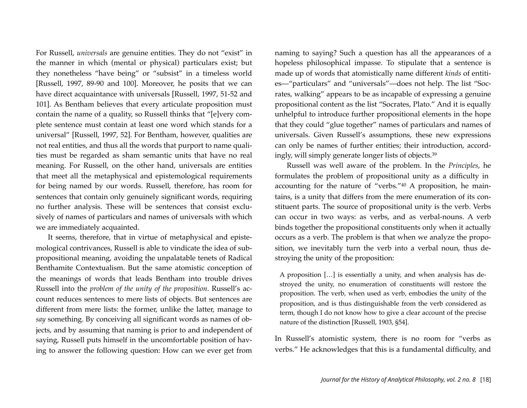For Russell, *universals* are genuine entities. They do not "exist" in the manner in which (mental or physical) particulars exist; but they nonetheless "have being" or "subsist" in a timeless world [Russell, 1997, 89-90 and 100]. Moreover, he posits that we can have direct acquaintance with universals [Russell, 1997, 51-52 and 101]. As Bentham believes that every articulate proposition must contain the name of a quality, so Russell thinks that "[e]very complete sentence must contain at least one word which stands for a universal" [Russell, 1997, 52]. For Bentham, however, qualities are not real entities, and thus all the words that purport to name qualities must be regarded as sham semantic units that have no real meaning. For Russell, on the other hand, universals are entities that meet all the metaphysical and epistemological requirements for being named by our words. Russell, therefore, has room for sentences that contain only genuinely significant words, requiring no further analysis. These will be sentences that consist exclusively of names of particulars and names of universals with which we are immediately acquainted.

It seems, therefore, that in virtue of metaphysical and epistemological contrivances, Russell is able to vindicate the idea of subpropositional meaning, avoiding the unpalatable tenets of Radical Benthamite Contextualism. But the same atomistic conception of the meanings of words that leads Bentham into trouble drives Russell into the *problem of the unity of the proposition*. Russell's account reduces sentences to mere lists of objects. But sentences are different from mere lists: the former, unlike the latter, manage to *say* something. By conceiving all significant words as names of objects, and by assuming that naming is prior to and independent of saying, Russell puts himself in the uncomfortable position of having to answer the following question: How can we ever get from naming to saying? Such a question has all the appearances of a hopeless philosophical impasse. To stipulate that a sentence is made up of words that atomistically name different *kinds* of entities—"particulars" and "universals"—does not help. The list "Socrates, walking" appears to be as incapable of expressing a genuine propositional content as the list "Socrates, Plato." And it is equally unhelpful to introduce further propositional elements in the hope that they could "glue together" names of particulars and names of universals. Given Russell's assumptions, these new expressions can only be names of further entities; their introduction, accordingly, will simply generate longer lists of objects[.39](#page-34-1)

Russell was well aware of the problem. In the *Principles*, he formulates the problem of propositional unity as a difficulty in accounting for the nature of "verbs.["40](#page-34-2) A proposition, he maintains, is a unity that differs from the mere enumeration of its constituent parts. The source of propositional unity is the verb. Verbs can occur in two ways: as verbs, and as verbal-nouns. A verb binds together the propositional constituents only when it actually occurs as a verb. The problem is that when we analyze the proposition, we inevitably turn the verb into a verbal noun, thus destroying the unity of the proposition:

A proposition […] is essentially a unity, and when analysis has destroyed the unity, no enumeration of constituents will restore the proposition. The verb, when used as verb, embodies the unity of the proposition, and is thus distinguishable from the verb considered as term, though I do not know how to give a clear account of the precise nature of the distinction [Russell, 1903, §54].

In Russell's atomistic system, there is no room for "verbs as verbs." He acknowledges that this is a fundamental difficulty, and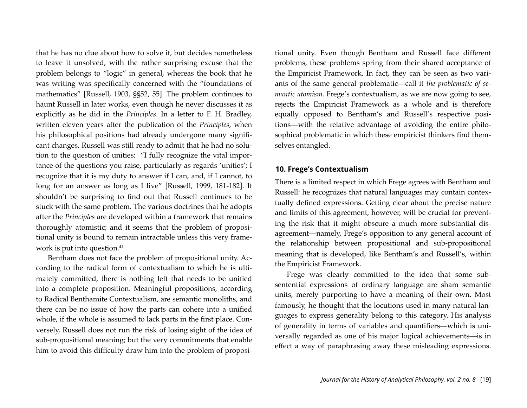that he has no clue about how to solve it, but decides nonetheless to leave it unsolved, with the rather surprising excuse that the problem belongs to "logic" in general, whereas the book that he was writing was specifically concerned with the "foundations of mathematics" [Russell, 1903, §§52, 55]. The problem continues to haunt Russell in later works, even though he never discusses it as explicitly as he did in the *Principles*. In a letter to F. H. Bradley, written eleven years after the publication of the *Principles*, when his philosophical positions had already undergone many significant changes, Russell was still ready to admit that he had no solution to the question of unities: "I fully recognize the vital importance of the questions you raise, particularly as regards 'unities'; I recognize that it is my duty to answer if I can, and, if I cannot, to long for an answer as long as I live" [Russell, 1999, 181-182]. It shouldn't be surprising to find out that Russell continues to be stuck with the same problem. The various doctrines that he adopts after the *Principles* are developed within a framework that remains thoroughly atomistic; and it seems that the problem of propositional unity is bound to remain intractable unless this very framework is put into question.<sup>41</sup>

Bentham does not face the problem of propositional unity. According to the radical form of contextualism to which he is ultimately committed, there is nothing left that needs to be unified into a complete proposition. Meaningful propositions, according to Radical Benthamite Contextualism, are semantic monoliths, and there can be no issue of how the parts can cohere into a unified whole, if the whole is assumed to lack parts in the first place. Conversely, Russell does not run the risk of losing sight of the idea of sub-propositional meaning; but the very commitments that enable him to avoid this difficulty draw him into the problem of propositional unity. Even though Bentham and Russell face different problems, these problems spring from their shared acceptance of the Empiricist Framework. In fact, they can be seen as two variants of the same general problematic—call it *the problematic of semantic atomism*. Frege's contextualism, as we are now going to see, rejects the Empiricist Framework as a whole and is therefore equally opposed to Bentham's and Russell's respective positions—with the relative advantage of avoiding the entire philosophical problematic in which these empiricist thinkers find themselves entangled.

#### **10. Frege's Contextualism**

There is a limited respect in which Frege agrees with Bentham and Russell: he recognizes that natural languages may contain contextually defined expressions. Getting clear about the precise nature and limits of this agreement, however, will be crucial for preventing the risk that it might obscure a much more substantial disagreement—namely, Frege's opposition to any general account of the relationship between propositional and sub-propositional meaning that is developed, like Bentham's and Russell's, within the Empiricist Framework.

Frege was clearly committed to the idea that some subsentential expressions of ordinary language are sham semantic units, merely purporting to have a meaning of their own. Most famously, he thought that the locutions used in many natural languages to express generality belong to this category. His analysis of generality in terms of variables and quantifiers—which is universally regarded as one of his major logical achievements—is in effect a way of paraphrasing away these misleading expressions.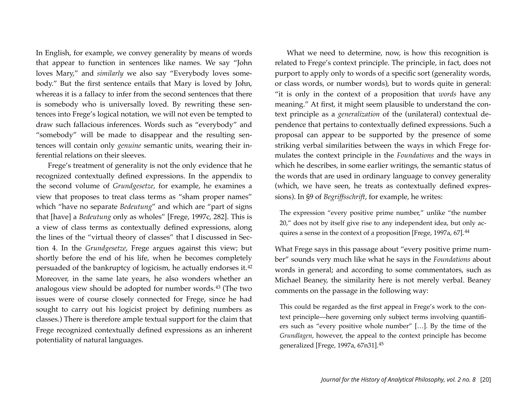In English, for example, we convey generality by means of words that appear to function in sentences like names. We say "John loves Mary," and *similarly* we also say "Everybody loves somebody." But the first sentence entails that Mary is loved by John, whereas it is a fallacy to infer from the second sentences that there is somebody who is universally loved. By rewriting these sentences into Frege's logical notation, we will not even be tempted to draw such fallacious inferences. Words such as "everybody" and "somebody" will be made to disappear and the resulting sentences will contain only *genuine* semantic units, wearing their inferential relations on their sleeves.

Frege's treatment of generality is not the only evidence that he recognized contextually defined expressions. In the appendix to the second volume of *Grundgesetze*, for example, he examines a view that proposes to treat class terms as "sham proper names" which "have no separate *Bedeutung*" and which are "part of signs that [have] a *Bedeutung* only as wholes" [Frege, 1997c, 282]. This is a view of class terms as contextually defined expressions, along the lines of the "virtual theory of classes" that I discussed in Section 4. In the *Grundgesetze*, Frege argues against this view; but shortly before the end of his life, when he becomes completely persuaded of the bankruptcy of logicism, he actually endorses it.[42](#page-34-4) Moreover, in the same late years, he also wonders whether an analogous view should be adopted for number words.[43](#page-34-5) (The two issues were of course closely connected for Frege, since he had sought to carry out his logicist project by defining numbers as classes.) There is therefore ample textual support for the claim that Frege recognized contextually defined expressions as an inherent potentiality of natural languages.

What we need to determine, now, is how this recognition is related to Frege's context principle. The principle, in fact, does not purport to apply only to words of a specific sort (generality words, or class words, or number words), but to words quite in general: "it is only in the context of a proposition that *words* have any meaning." At first, it might seem plausible to understand the context principle as a *generalization* of the (unilateral) contextual dependence that pertains to contextually defined expressions. Such a proposal can appear to be supported by the presence of some striking verbal similarities between the ways in which Frege formulates the context principle in the *Foundations* and the ways in which he describes, in some earlier writings, the semantic status of the words that are used in ordinary language to convey generality (which, we have seen, he treats as contextually defined expressions). In §9 of *Begriffsschrift*, for example, he writes:

The expression "every positive prime number," unlike "the number 20," does not by itself give rise to any independent idea, but only ac-quires a sense in the context of a proposition [Frege, 1997a, 67].<sup>[44](#page-34-6)</sup>

What Frege says in this passage about "every positive prime number" sounds very much like what he says in the *Foundations* about words in general; and according to some commentators, such as Michael Beaney, the similarity here is not merely verbal. Beaney comments on the passage in the following way:

This could be regarded as the first appeal in Frege's work to the context principle—here governing only subject terms involving quantifiers such as "every positive whole number" […]. By the time of the *Grundlagen*, however, the appeal to the context principle has become generalized [Frege, 1997a, 67n31].[45](#page-34-7)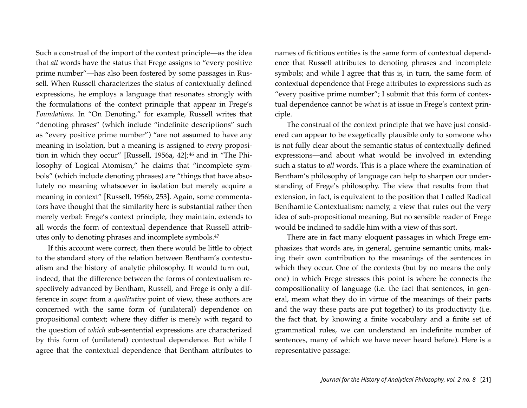Such a construal of the import of the context principle—as the idea that *all* words have the status that Frege assigns to "every positive prime number"—has also been fostered by some passages in Russell. When Russell characterizes the status of contextually defined expressions, he employs a language that resonates strongly with the formulations of the context principle that appear in Frege's *Foundations*. In "On Denoting," for example, Russell writes that "denoting phrases" (which include "indefinite descriptions" such as "every positive prime number") "are not assumed to have any meaning in isolation, but a meaning is assigned to *every* proposi-tion in which they occur" [Russell, 1956a, 42];<sup>[46](#page-34-8)</sup> and in "The Philosophy of Logical Atomism," he claims that "incomplete symbols" (which include denoting phrases) are "things that have absolutely no meaning whatsoever in isolation but merely acquire a meaning in context" [Russell, 1956b, 253]. Again, some commentators have thought that the similarity here is substantial rather then merely verbal: Frege's context principle, they maintain, extends to all words the form of contextual dependence that Russell attributes only to denoting phrases and incomplete symbols.[47](#page-34-9)

If this account were correct, then there would be little to object to the standard story of the relation between Bentham's contextualism and the history of analytic philosophy. It would turn out, indeed, that the difference between the forms of contextualism respectively advanced by Bentham, Russell, and Frege is only a difference in *scope*: from a *qualitative* point of view, these authors are concerned with the same form of (unilateral) dependence on propositional context; where they differ is merely with regard to the question of *which* sub-sentential expressions are characterized by this form of (unilateral) contextual dependence. But while I agree that the contextual dependence that Bentham attributes to names of fictitious entities is the same form of contextual dependence that Russell attributes to denoting phrases and incomplete symbols; and while I agree that this is, in turn, the same form of contextual dependence that Frege attributes to expressions such as "every positive prime number"; I submit that this form of contextual dependence cannot be what is at issue in Frege's context principle.

The construal of the context principle that we have just considered can appear to be exegetically plausible only to someone who is not fully clear about the semantic status of contextually defined expressions—and about what would be involved in extending such a status to *all* words. This is a place where the examination of Bentham's philosophy of language can help to sharpen our understanding of Frege's philosophy. The view that results from that extension, in fact, is equivalent to the position that I called Radical Benthamite Contextualism: namely, a view that rules out the very idea of sub-propositional meaning. But no sensible reader of Frege would be inclined to saddle him with a view of this sort.

There are in fact many eloquent passages in which Frege emphasizes that words are, in general, genuine semantic units, making their own contribution to the meanings of the sentences in which they occur. One of the contexts (but by no means the only one) in which Frege stresses this point is where he connects the compositionality of language (i.e. the fact that sentences, in general, mean what they do in virtue of the meanings of their parts and the way these parts are put together) to its productivity (i.e. the fact that, by knowing a finite vocabulary and a finite set of grammatical rules, we can understand an indefinite number of sentences, many of which we have never heard before). Here is a representative passage: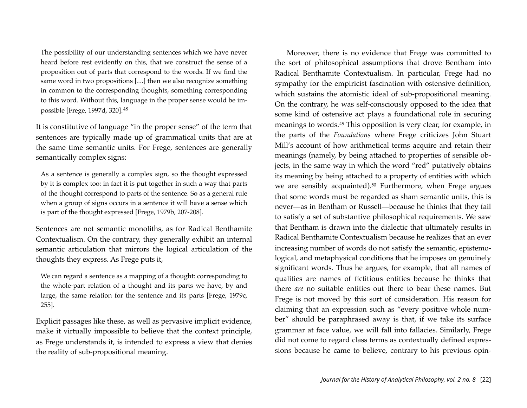The possibility of our understanding sentences which we have never heard before rest evidently on this, that we construct the sense of a proposition out of parts that correspond to the words. If we find the same word in two propositions […] then we also recognize something in common to the corresponding thoughts, something corresponding to this word. Without this, language in the proper sense would be impossible [Frege, 1997d, 320].[48](#page-34-10)

It is constitutive of language "in the proper sense" of the term that sentences are typically made up of grammatical units that are at the same time semantic units. For Frege, sentences are generally semantically complex signs:

As a sentence is generally a complex sign, so the thought expressed by it is complex too: in fact it is put together in such a way that parts of the thought correspond to parts of the sentence. So as a general rule when a group of signs occurs in a sentence it will have a sense which is part of the thought expressed [Frege, 1979b, 207-208].

Sentences are not semantic monoliths, as for Radical Benthamite Contextualism. On the contrary, they generally exhibit an internal semantic articulation that mirrors the logical articulation of the thoughts they express. As Frege puts it,

We can regard a sentence as a mapping of a thought: corresponding to the whole-part relation of a thought and its parts we have, by and large, the same relation for the sentence and its parts [Frege, 1979c, 255].

Explicit passages like these, as well as pervasive implicit evidence, make it virtually impossible to believe that the context principle, as Frege understands it, is intended to express a view that denies the reality of sub-propositional meaning.

Moreover, there is no evidence that Frege was committed to the sort of philosophical assumptions that drove Bentham into Radical Benthamite Contextualism. In particular, Frege had no sympathy for the empiricist fascination with ostensive definition, which sustains the atomistic ideal of sub-propositional meaning. On the contrary, he was self-consciously opposed to the idea that some kind of ostensive act plays a foundational role in securing meanings to words.[49](#page-34-11) This opposition is very clear, for example, in the parts of the *Foundations* where Frege criticizes John Stuart Mill's account of how arithmetical terms acquire and retain their meanings (namely, by being attached to properties of sensible objects, in the same way in which the word "red" putatively obtains its meaning by being attached to a property of entities with which we are sensibly acquainted)[.50](#page-34-12) Furthermore, when Frege argues that some words must be regarded as sham semantic units, this is never—as in Bentham or Russell—because he thinks that they fail to satisfy a set of substantive philosophical requirements. We saw that Bentham is drawn into the dialectic that ultimately results in Radical Benthamite Contextualism because he realizes that an ever increasing number of words do not satisfy the semantic, epistemological, and metaphysical conditions that he imposes on genuinely significant words. Thus he argues, for example, that all names of qualities are names of fictitious entities because he thinks that there *are* no suitable entities out there to bear these names. But Frege is not moved by this sort of consideration. His reason for claiming that an expression such as "every positive whole number" should be paraphrased away is that, if we take its surface grammar at face value, we will fall into fallacies. Similarly, Frege did not come to regard class terms as contextually defined expressions because he came to believe, contrary to his previous opin-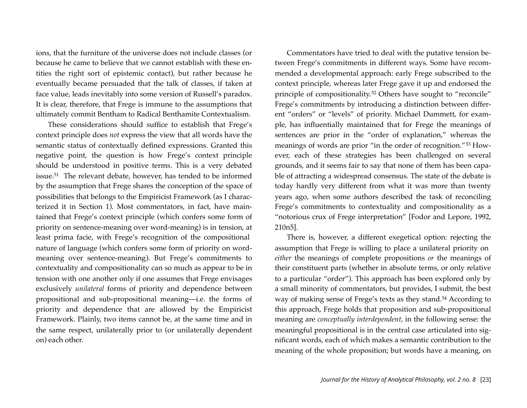ions, that the furniture of the universe does not include classes (or because he came to believe that we cannot establish with these entities the right sort of epistemic contact), but rather because he eventually became persuaded that the talk of classes, if taken at face value, leads inevitably into some version of Russell's paradox. It is clear, therefore, that Frege is immune to the assumptions that ultimately commit Bentham to Radical Benthamite Contextualism.

These considerations should suffice to establish that Frege's context principle does *not* express the view that all words have the semantic status of contextually defined expressions. Granted this negative point, the question is how Frege's context principle should be understood in positive terms. This is a very debated issue[.51](#page-34-13) The relevant debate, however, has tended to be informed by the assumption that Frege shares the conception of the space of possibilities that belongs to the Empiricist Framework (as I characterized it in Section 1). Most commentators, in fact, have maintained that Frege's context principle (which confers some form of priority on sentence-meaning over word-meaning) is in tension, at least prima facie, with Frege's recognition of the compositional nature of language (which confers some form of priority on wordmeaning over sentence-meaning). But Frege's commitments to contextuality and compositionality can so much as appear to be in tension with one another only if one assumes that Frege envisages exclusively *unilateral* forms of priority and dependence between propositional and sub-propositional meaning—i.e. the forms of priority and dependence that are allowed by the Empiricist Framework. Plainly, two items cannot be, at the same time and in the same respect, unilaterally prior to (or unilaterally dependent on) each other.

Commentators have tried to deal with the putative tension between Frege's commitments in different ways. Some have recommended a developmental approach: early Frege subscribed to the context principle, whereas later Frege gave it up and endorsed the principle of compositionality.[52](#page-34-14) Others have sought to "reconcile" Frege's commitments by introducing a distinction between different "orders" or "levels" of priority. Michael Dummett, for example, has influentially maintained that for Frege the meanings of sentences are prior in the "order of explanation," whereas the meanings of words are prior "in the order of recognition."[53](#page-35-0) However, each of these strategies has been challenged on several grounds, and it seems fair to say that none of them has been capable of attracting a widespread consensus. The state of the debate is today hardly very different from what it was more than twenty years ago, when some authors described the task of reconciling Frege's commitments to contextuality and compositionality as a "notorious crux of Frege interpretation" [Fodor and Lepore, 1992, 210n5].

There is, however, a different exegetical option: rejecting the assumption that Frege is willing to place a unilateral priority on *either* the meanings of complete propositions *or* the meanings of their constituent parts (whether in absolute terms, or only relative to a particular "order"). This approach has been explored only by a small minority of commentators, but provides, I submit, the best way of making sense of Frege's texts as they stand[.54](#page-35-1) According to this approach, Frege holds that proposition and sub-propositional meaning are *conceptually interdependent*, in the following sense: the meaningful propositional is in the central case articulated into significant words, each of which makes a semantic contribution to the meaning of the whole proposition; but words have a meaning, on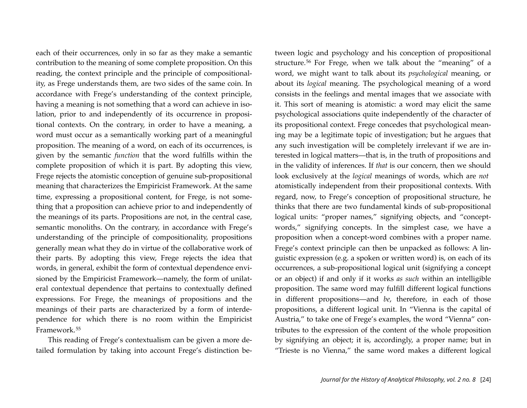each of their occurrences, only in so far as they make a semantic contribution to the meaning of some complete proposition. On this reading, the context principle and the principle of compositionality, as Frege understands them, are two sides of the same coin. In accordance with Frege's understanding of the context principle, having a meaning is not something that a word can achieve in isolation, prior to and independently of its occurrence in propositional contexts. On the contrary, in order to have a meaning, a word must occur as a semantically working part of a meaningful proposition. The meaning of a word, on each of its occurrences, is given by the semantic *function* that the word fulfills within the complete proposition of which it is part. By adopting this view, Frege rejects the atomistic conception of genuine sub-propositional meaning that characterizes the Empiricist Framework. At the same time, expressing a propositional content, for Frege, is not something that a proposition can achieve prior to and independently of the meanings of its parts. Propositions are not, in the central case, semantic monoliths. On the contrary, in accordance with Frege's understanding of the principle of compositionality, propositions generally mean what they do in virtue of the collaborative work of their parts. By adopting this view, Frege rejects the idea that words, in general, exhibit the form of contextual dependence envisioned by the Empiricist Framework—namely, the form of unilateral contextual dependence that pertains to contextually defined expressions. For Frege, the meanings of propositions and the meanings of their parts are characterized by a form of interdependence for which there is no room within the Empiricist Framework.[55](#page-35-2)

This reading of Frege's contextualism can be given a more detailed formulation by taking into account Frege's distinction between logic and psychology and his conception of propositional structure.[56](#page-35-3) For Frege, when we talk about the "meaning" of a word, we might want to talk about its *psychological* meaning, or about its *logical* meaning. The psychological meaning of a word consists in the feelings and mental images that we associate with it. This sort of meaning is atomistic: a word may elicit the same psychological associations quite independently of the character of its propositional context. Frege concedes that psychological meaning may be a legitimate topic of investigation; but he argues that any such investigation will be completely irrelevant if we are interested in logical matters—that is, in the truth of propositions and in the validity of inferences. If *that* is our concern, then we should look exclusively at the *logical* meanings of words, which are *not* atomistically independent from their propositional contexts. With regard, now, to Frege's conception of propositional structure, he thinks that there are two fundamental kinds of sub-propositional logical units: "proper names," signifying objects, and "conceptwords," signifying concepts. In the simplest case, we have a proposition when a concept-word combines with a proper name. Frege's context principle can then be unpacked as follows: A linguistic expression (e.g. a spoken or written word) is, on each of its occurrences, a sub-propositional logical unit (signifying a concept or an object) if and only if it works *as such* within an intelligible proposition. The same word may fulfill different logical functions in different propositions—and *be*, therefore, in each of those propositions, a different logical unit. In "Vienna is the capital of Austria," to take one of Frege's examples, the word "Vienna" contributes to the expression of the content of the whole proposition by signifying an object; it is, accordingly, a proper name; but in "Trieste is no Vienna," the same word makes a different logical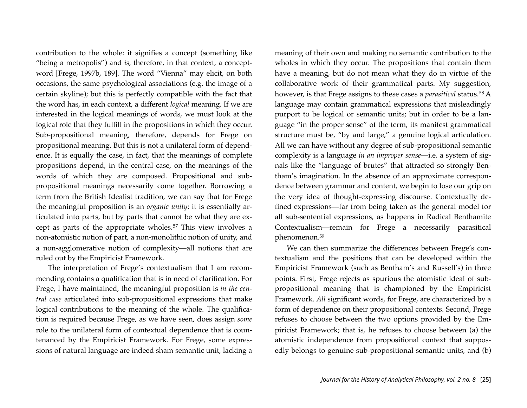contribution to the whole: it signifies a concept (something like "being a metropolis") and *is*, therefore, in that context, a conceptword [Frege, 1997b, 189]. The word "Vienna" may elicit, on both occasions, the same psychological associations (e.g. the image of a certain skyline); but this is perfectly compatible with the fact that the word has, in each context, a different *logical* meaning. If we are interested in the logical meanings of words, we must look at the logical role that they fulfill in the propositions in which they occur. Sub-propositional meaning, therefore, depends for Frege on propositional meaning. But this is not a unilateral form of dependence. It is equally the case, in fact, that the meanings of complete propositions depend, in the central case, on the meanings of the words of which they are composed. Propositional and subpropositional meanings necessarily come together. Borrowing a term from the British Idealist tradition, we can say that for Frege the meaningful proposition is an *organic unity*: it is essentially articulated into parts, but by parts that cannot be what they are except as parts of the appropriate wholes.[57](#page-35-4) This view involves a non-atomistic notion of part, a non-monolithic notion of unity, and a non-agglomerative notion of complexity—all notions that are ruled out by the Empiricist Framework.

The interpretation of Frege's contextualism that I am recommending contains a qualification that is in need of clarification. For Frege, I have maintained, the meaningful proposition is *in the central case* articulated into sub-propositional expressions that make logical contributions to the meaning of the whole. The qualification is required because Frege, as we have seen, does assign *some* role to the unilateral form of contextual dependence that is countenanced by the Empiricist Framework. For Frege, some expressions of natural language are indeed sham semantic unit, lacking a meaning of their own and making no semantic contribution to the wholes in which they occur. The propositions that contain them have a meaning, but do not mean what they do in virtue of the collaborative work of their grammatical parts. My suggestion, however, is that Frege assigns to these cases a *parasitical* status.[58](#page-35-5) A language may contain grammatical expressions that misleadingly purport to be logical or semantic units; but in order to be a language "in the proper sense" of the term, its manifest grammatical structure must be, "by and large," a genuine logical articulation. All we can have without any degree of sub-propositional semantic complexity is a language *in an improper sense*—i.e. a system of signals like the "language of brutes" that attracted so strongly Bentham's imagination. In the absence of an approximate correspondence between grammar and content, we begin to lose our grip on the very idea of thought-expressing discourse. Contextually defined expressions—far from being taken as the general model for all sub-sentential expressions, as happens in Radical Benthamite Contextualism—remain for Frege a necessarily parasitical phenomenon[.59](#page-36-0)

We can then summarize the differences between Frege's contextualism and the positions that can be developed within the Empiricist Framework (such as Bentham's and Russell's) in three points. First, Frege rejects as spurious the atomistic ideal of subpropositional meaning that is championed by the Empiricist Framework. *All* significant words, for Frege, are characterized by a form of dependence on their propositional contexts. Second, Frege refuses to choose between the two options provided by the Empiricist Framework; that is, he refuses to choose between (a) the atomistic independence from propositional context that supposedly belongs to genuine sub-propositional semantic units, and (b)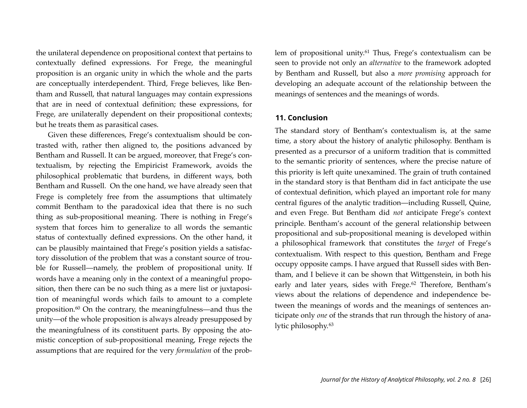the unilateral dependence on propositional context that pertains to contextually defined expressions. For Frege, the meaningful proposition is an organic unity in which the whole and the parts are conceptually interdependent. Third, Frege believes, like Bentham and Russell, that natural languages may contain expressions that are in need of contextual definition; these expressions, for Frege, are unilaterally dependent on their propositional contexts; but he treats them as parasitical cases.

Given these differences, Frege's contextualism should be contrasted with, rather then aligned to, the positions advanced by Bentham and Russell. It can be argued, moreover, that Frege's contextualism, by rejecting the Empiricist Framework, avoids the philosophical problematic that burdens, in different ways, both Bentham and Russell. On the one hand, we have already seen that Frege is completely free from the assumptions that ultimately commit Bentham to the paradoxical idea that there is no such thing as sub-propositional meaning. There is nothing in Frege's system that forces him to generalize to all words the semantic status of contextually defined expressions. On the other hand, it can be plausibly maintained that Frege's position yields a satisfactory dissolution of the problem that was a constant source of trouble for Russell—namely, the problem of propositional unity. If words have a meaning only in the context of a meaningful proposition, then there can be no such thing as a mere list or juxtaposition of meaningful words which fails to amount to a complete proposition[.60](#page-36-1) On the contrary, the meaningfulness—and thus the unity—of the whole proposition is always already presupposed by the meaningfulness of its constituent parts. By opposing the atomistic conception of sub-propositional meaning, Frege rejects the assumptions that are required for the very *formulation* of the problem of propositional unity.<sup>61</sup> Thus, Frege's contextualism can be seen to provide not only an *alternative* to the framework adopted by Bentham and Russell, but also a *more promising* approach for developing an adequate account of the relationship between the meanings of sentences and the meanings of words.

#### **11. Conclusion**

The standard story of Bentham's contextualism is, at the same time, a story about the history of analytic philosophy. Bentham is presented as a precursor of a uniform tradition that is committed to the semantic priority of sentences, where the precise nature of this priority is left quite unexamined. The grain of truth contained in the standard story is that Bentham did in fact anticipate the use of contextual definition, which played an important role for many central figures of the analytic tradition—including Russell, Quine, and even Frege. But Bentham did *not* anticipate Frege's context principle. Bentham's account of the general relationship between propositional and sub-propositional meaning is developed within a philosophical framework that constitutes the *target* of Frege's contextualism. With respect to this question, Bentham and Frege occupy opposite camps. I have argued that Russell sides with Bentham, and I believe it can be shown that Wittgenstein, in both his early and later years, sides with Frege.<sup>[62](#page-36-3)</sup> Therefore, Bentham's views about the relations of dependence and independence between the meanings of words and the meanings of sentences anticipate only *one* of the strands that run through the history of analytic philosophy.[63](#page-36-4)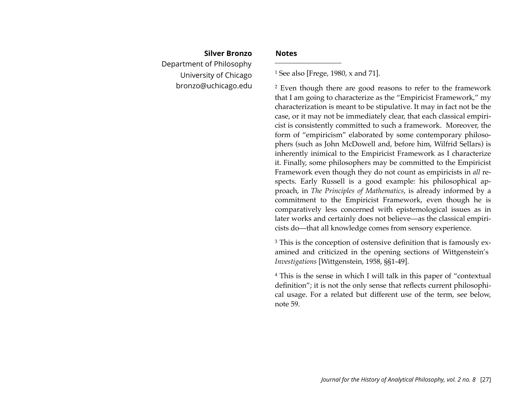# **Silver Bronzo** Department of Philosophy University of Chicago [bronzo@uchicago.edu](mailto:bronzo@uchicago.edu)

#### **Notes**

<span id="page-27-0"></span>1 See also [Frege, 1980, x and 71].

<span id="page-27-1"></span>2 Even though there are good reasons to refer to the framework that I am going to characterize as the "Empiricist Framework," my characterization is meant to be stipulative. It may in fact not be the case, or it may not be immediately clear, that each classical empiricist is consistently committed to such a framework. Moreover, the form of "empiricism" elaborated by some contemporary philosophers (such as John McDowell and, before him, Wilfrid Sellars) is inherently inimical to the Empiricist Framework as I characterize it. Finally, some philosophers may be committed to the Empiricist Framework even though they do not count as empiricists in *all* respects. Early Russell is a good example: his philosophical approach, in *The Principles of Mathematics*, is already informed by a commitment to the Empiricist Framework, even though he is comparatively less concerned with epistemological issues as in later works and certainly does not believe—as the classical empiricists do—that all knowledge comes from sensory experience.

<span id="page-27-2"></span><sup>3</sup> This is the conception of ostensive definition that is famously examined and criticized in the opening sections of Wittgenstein's *Investigations* [Wittgenstein, 1958, §§1-49].

<span id="page-27-3"></span>4 This is the sense in which I will talk in this paper of "contextual definition"; it is not the only sense that reflects current philosophical usage. For a related but different use of the term, see below, note 59.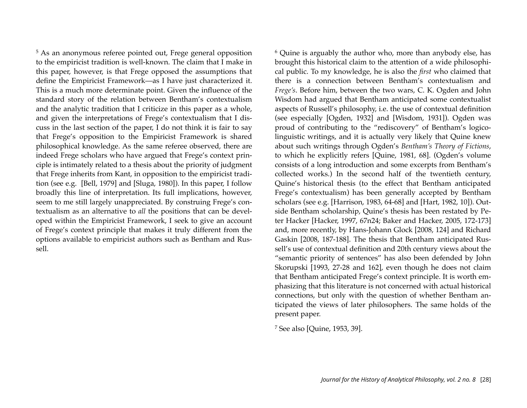<span id="page-28-0"></span>5 As an anonymous referee pointed out, Frege general opposition to the empiricist tradition is well-known. The claim that I make in this paper, however, is that Frege opposed the assumptions that define the Empiricist Framework—as I have just characterized it. This is a much more determinate point. Given the influence of the standard story of the relation between Bentham's contextualism and the analytic tradition that I criticize in this paper as a whole, and given the interpretations of Frege's contextualism that I discuss in the last section of the paper, I do not think it is fair to say that Frege's opposition to the Empiricist Framework is shared philosophical knowledge. As the same referee observed, there are indeed Frege scholars who have argued that Frege's context principle is intimately related to a thesis about the priority of judgment that Frege inherits from Kant, in opposition to the empiricist tradition (see e.g. [Bell, 1979] and [Sluga, 1980]). In this paper, I follow broadly this line of interpretation. Its full implications, however, seem to me still largely unappreciated. By construing Frege's contextualism as an alternative to *all* the positions that can be developed within the Empiricist Framework, I seek to give an account of Frege's context principle that makes it truly different from the options available to empiricist authors such as Bentham and Russell.

<span id="page-28-1"></span>6 Quine is arguably the author who, more than anybody else, has brought this historical claim to the attention of a wide philosophical public. To my knowledge, he is also the *first* who claimed that there is a connection between Bentham's contextualism and *Frege's*. Before him, between the two wars, C. K. Ogden and John Wisdom had argued that Bentham anticipated some contextualist aspects of Russell's philosophy, i.e. the use of contextual definition (see especially [Ogden, 1932] and [Wisdom, 1931]). Ogden was proud of contributing to the "rediscovery" of Bentham's logicolinguistic writings, and it is actually very likely that Quine knew about such writings through Ogden's *Bentham's Theory of Fictions*, to which he explicitly refers [Quine, 1981, 68]. (Ogden's volume consists of a long introduction and some excerpts from Bentham's collected works.) In the second half of the twentieth century, Quine's historical thesis (to the effect that Bentham anticipated Frege's contextualism) has been generally accepted by Bentham scholars (see e.g. [Harrison, 1983, 64-68] and [Hart, 1982, 10]). Outside Bentham scholarship, Quine's thesis has been restated by Peter Hacker [Hacker, 1997, 67n24; Baker and Hacker, 2005, 172-173] and, more recently, by Hans-Johann Glock [2008, 124] and Richard Gaskin [2008, 187-188]. The thesis that Bentham anticipated Russell's use of contextual definition and 20th century views about the "semantic priority of sentences" has also been defended by John Skorupski [1993, 27-28 and 162], even though he does not claim that Bentham anticipated Frege's context principle. It is worth emphasizing that this literature is not concerned with actual historical connections, but only with the question of whether Bentham anticipated the views of later philosophers. The same holds of the present paper.

<span id="page-28-2"></span>7 See also [Quine, 1953, 39].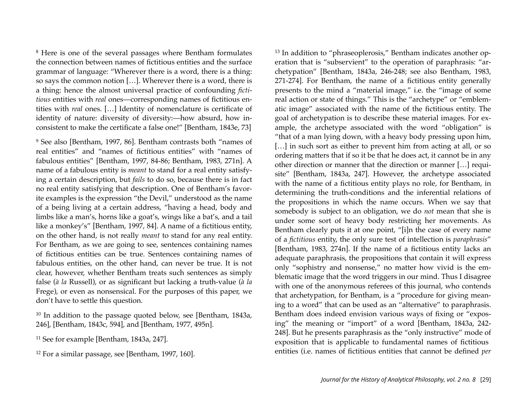<span id="page-29-0"></span>8 Here is one of the several passages where Bentham formulates the connection between names of fictitious entities and the surface grammar of language: "Wherever there is a word, there is a thing: so says the common notion […]. Wherever there is a word, there is a thing: hence the almost universal practice of confounding *fictitious* entities with *real* ones—corresponding names of fictitious entities with *real* ones. […] Identity of nomenclature is certificate of identity of nature: diversity of diversity:—how absurd, how inconsistent to make the certificate a false one!" [Bentham, 1843e, 73]

<span id="page-29-1"></span>9 See also [Bentham, 1997, 86]. Bentham contrasts both "names of real entities" and "names of fictitious entities" with "names of fabulous entities" [Bentham, 1997, 84-86; Bentham, 1983, 271n]. A name of a fabulous entity is *meant* to stand for a real entity satisfying a certain description, but *fails* to do so, because there is in fact no real entity satisfying that description. One of Bentham's favorite examples is the expression "the Devil," understood as the name of a being living at a certain address, "having a head, body and limbs like a man's, horns like a goat's, wings like a bat's, and a tail like a monkey's" [Bentham, 1997, 84]. A name of a fictitious entity, on the other hand, is not really *meant* to stand for any real entity. For Bentham, as we are going to see, sentences containing names of fictitious entities can be true. Sentences containing names of fabulous entities, on the other hand, can never be true. It is not clear, however, whether Bentham treats such sentences as simply false (*à la* Russell), or as significant but lacking a truth-value (*à la* Frege), or even as nonsensical. For the purposes of this paper, we don't have to settle this question.

<span id="page-29-2"></span>10 In addition to the passage quoted below, see [Bentham, 1843a, 246], [Bentham, 1843c, 594], and [Bentham, 1977, 495n].

- <span id="page-29-3"></span>11 See for example [Bentham, 1843a, 247].
- <span id="page-29-4"></span>12 For a similar passage, see [Bentham, 1997, 160].

<span id="page-29-5"></span>13 In addition to "phraseoplerosis," Bentham indicates another operation that is "subservient" to the operation of paraphrasis: "archetypation" [Bentham, 1843a, 246-248; see also Bentham, 1983, 271-274]. For Bentham, the name of a fictitious entity generally presents to the mind a "material image," i.e. the "image of some real action or state of things." This is the "archetype" or "emblematic image" associated with the name of the fictitious entity. The goal of archetypation is to describe these material images. For example, the archetype associated with the word "obligation" is "that of a man lying down, with a heavy body pressing upon him, [...] in such sort as either to prevent him from acting at all, or so ordering matters that if so it be that he does act, it cannot be in any other direction or manner that the direction or manner […] requisite" [Bentham, 1843a, 247]. However, the archetype associated with the name of a fictitious entity plays no role, for Bentham, in determining the truth-conditions and the inferential relations of the propositions in which the name occurs. When we say that somebody is subject to an obligation, we do *not* mean that she is under some sort of heavy body restricting her movements. As Bentham clearly puts it at one point, "[i]n the case of every name of a *fictitious* entity, the only sure test of intellection is *paraphrasis*" [Bentham, 1983, 274n]. If the name of a fictitious entity lacks an adequate paraphrasis, the propositions that contain it will express only "sophistry and nonsense," no matter how vivid is the emblematic image that the word triggers in our mind. Thus I disagree with one of the anonymous referees of this journal, who contends that archetypation, for Bentham, is a "procedure for giving meaning to a word" that can be used as an "alternative" to paraphrasis. Bentham does indeed envision various ways of fixing or "exposing" the meaning or "import" of a word [Bentham, 1843a, 242- 248]. But he presents paraphrasis as the "only instructive" mode of exposition that is applicable to fundamental names of fictitious entities (i.e. names of fictitious entities that cannot be defined *per*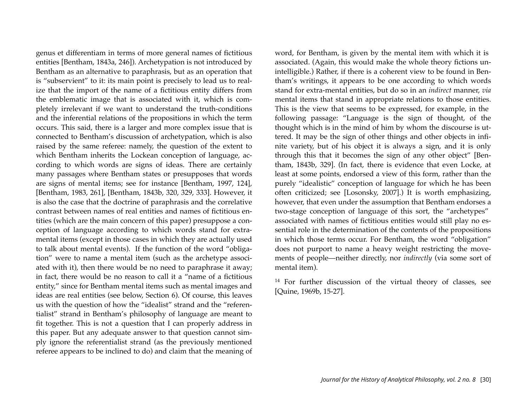genus et differentiam in terms of more general names of fictitious entities [Bentham, 1843a, 246]). Archetypation is not introduced by Bentham as an alternative to paraphrasis, but as an operation that is "subservient" to it: its main point is precisely to lead us to realize that the import of the name of a fictitious entity differs from the emblematic image that is associated with it, which is completely irrelevant if we want to understand the truth-conditions and the inferential relations of the propositions in which the term occurs. This said, there is a larger and more complex issue that is connected to Bentham's discussion of archetypation, which is also raised by the same referee: namely, the question of the extent to which Bentham inherits the Lockean conception of language, according to which words are signs of ideas. There are certainly many passages where Bentham states or presupposes that words are signs of mental items; see for instance [Bentham, 1997, 124], [Bentham, 1983, 261], [Bentham, 1843b, 320, 329, 333]. However, it is also the case that the doctrine of paraphrasis and the correlative contrast between names of real entities and names of fictitious entities (which are the main concern of this paper) presuppose a conception of language according to which words stand for extramental items (except in those cases in which they are actually used to talk about mental events). If the function of the word "obligation" were to name a mental item (such as the archetype associated with it), then there would be no need to paraphrase it away; in fact, there would be no reason to call it a "name of a fictitious entity," since for Bentham mental items such as mental images and ideas are real entities (see below, Section 6). Of course, this leaves us with the question of how the "idealist" strand and the "referentialist" strand in Bentham's philosophy of language are meant to fit together. This is not a question that I can properly address in this paper. But any adequate answer to that question cannot simply ignore the referentialist strand (as the previously mentioned referee appears to be inclined to do) and claim that the meaning of word, for Bentham, is given by the mental item with which it is associated. (Again, this would make the whole theory fictions unintelligible.) Rather, if there is a coherent view to be found in Bentham's writings, it appears to be one according to which words stand for extra-mental entities, but do so in an *indirect* manner, *via* mental items that stand in appropriate relations to those entities. This is the view that seems to be expressed, for example, in the following passage: "Language is the sign of thought, of the thought which is in the mind of him by whom the discourse is uttered. It may be the sign of other things and other objects in infinite variety, but of his object it is always a sign, and it is only through this that it becomes the sign of any other object" [Bentham, 1843b, 329]. (In fact, there is evidence that even Locke, at least at some points, endorsed a view of this form, rather than the purely "idealistic" conception of language for which he has been often criticized; see [Losonsky, 2007].) It is worth emphasizing, however, that even under the assumption that Bentham endorses a two-stage conception of language of this sort, the "archetypes" associated with names of fictitious entities would still play no essential role in the determination of the contents of the propositions in which those terms occur. For Bentham, the word "obligation" does not purport to name a heavy weight restricting the movements of people—neither directly, nor *indirectly* (via some sort of mental item).

<span id="page-30-0"></span>14 For further discussion of the virtual theory of classes, see [Quine, 1969b, 15-27].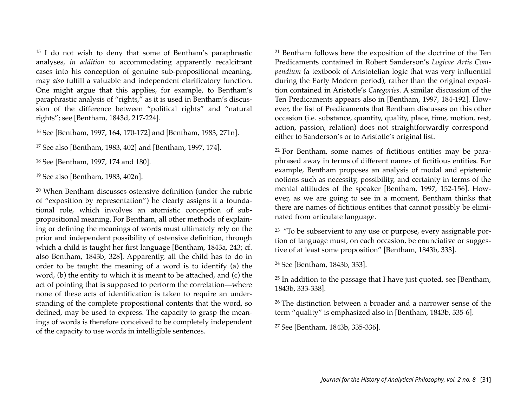<span id="page-31-0"></span>15 I do not wish to deny that some of Bentham's paraphrastic analyses, *in addition* to accommodating apparently recalcitrant cases into his conception of genuine sub-propositional meaning, may *also* fulfill a valuable and independent clarificatory function. One might argue that this applies, for example, to Bentham's paraphrastic analysis of "rights," as it is used in Bentham's discussion of the difference between "political rights" and "natural rights"; see [Bentham, 1843d, 217-224].

<span id="page-31-1"></span>16 See [Bentham, 1997, 164, 170-172] and [Bentham, 1983, 271n].

<span id="page-31-2"></span>17 See also [Bentham, 1983, 402] and [Bentham, 1997, 174].

<span id="page-31-3"></span>18 See [Bentham, 1997, 174 and 180].

<span id="page-31-4"></span>19 See also [Bentham, 1983, 402n].

<span id="page-31-5"></span>20 When Bentham discusses ostensive definition (under the rubric of "exposition by representation") he clearly assigns it a foundational role, which involves an atomistic conception of subpropositional meaning. For Bentham, all other methods of explaining or defining the meanings of words must ultimately rely on the prior and independent possibility of ostensive definition, through which a child is taught her first language [Bentham, 1843a, 243; cf. also Bentham, 1843b, 328]. Apparently, all the child has to do in order to be taught the meaning of a word is to identify (a) the word, (b) the entity to which it is meant to be attached, and (c) the act of pointing that is supposed to perform the correlation—where none of these acts of identification is taken to require an understanding of the complete propositional contents that the word, so defined, may be used to express. The capacity to grasp the meanings of words is therefore conceived to be completely independent of the capacity to use words in intelligible sentences.

<span id="page-31-6"></span>21 Bentham follows here the exposition of the doctrine of the Ten Predicaments contained in Robert Sanderson's *Logicae Artis Compendium* (a textbook of Aristotelian logic that was very influential during the Early Modern period), rather than the original exposition contained in Aristotle's *Categories*. A similar discussion of the Ten Predicaments appears also in [Bentham, 1997, 184-192]. However, the list of Predicaments that Bentham discusses on this other occasion (i.e. substance, quantity, quality, place, time, motion, rest, action, passion, relation) does not straightforwardly correspond either to Sanderson's or to Aristotle's original list.

<span id="page-31-7"></span><sup>22</sup> For Bentham, some names of fictitious entities may be paraphrased away in terms of different names of fictitious entities. For example, Bentham proposes an analysis of modal and epistemic notions such as necessity, possibility, and certainty in terms of the mental attitudes of the speaker [Bentham, 1997, 152-156]. However, as we are going to see in a moment, Bentham thinks that there are names of fictitious entities that cannot possibly be eliminated from articulate language.

<span id="page-31-8"></span><sup>23</sup> "To be subservient to any use or purpose, every assignable portion of language must, on each occasion, be enunciative or suggestive of at least some proposition" [Bentham, 1843b, 333].

<span id="page-31-9"></span>24 See [Bentham, 1843b, 333].

<span id="page-31-10"></span><sup>25</sup> In addition to the passage that I have just quoted, see [Bentham, 1843b, 333-338].

<span id="page-31-11"></span><sup>26</sup> The distinction between a broader and a narrower sense of the term "quality" is emphasized also in [Bentham, 1843b, 335-6].

<span id="page-31-12"></span>27 See [Bentham, 1843b, 335-336].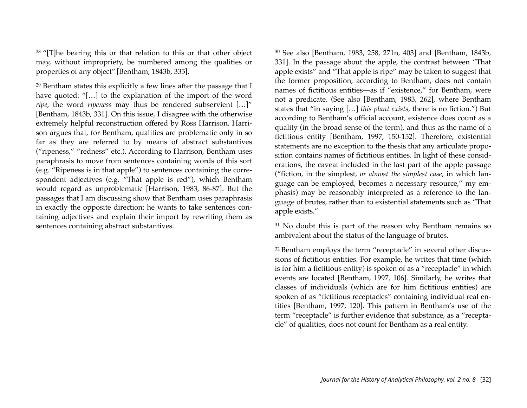<span id="page-32-0"></span><sup>28</sup> "[T]he bearing this or that relation to this or that other object may, without impropriety, be numbered among the qualities or properties of any object" [Bentham, 1843b, 335].

<span id="page-32-1"></span>29 Bentham states this explicitly a few lines after the passage that I have quoted: "[...] to the explanation of the import of the word *ripe*, the word *ripeness* may thus be rendered subservient […]" [Bentham, 1843b, 331]. On this issue, I disagree with the otherwise extremely helpful reconstruction offered by Ross Harrison. Harrison argues that, for Bentham, qualities are problematic only in so far as they are referred to by means of abstract substantives ("ripeness," "redness" etc.). According to Harrison, Bentham uses paraphrasis to move from sentences containing words of this sort (e.g. "Ripeness is in that apple") to sentences containing the correspondent adjectives (e.g. "That apple is red"), which Bentham would regard as unproblematic [Harrison, 1983, 86-87]. But the passages that I am discussing show that Bentham uses paraphrasis in exactly the opposite direction: he wants to take sentences containing adjectives and explain their import by rewriting them as sentences containing abstract substantives.

<span id="page-32-2"></span>30 See also [Bentham, 1983, 258, 271n, 403] and [Bentham, 1843b, 331]. In the passage about the apple, the contrast between "That apple exists" and "That apple is ripe" may be taken to suggest that the former proposition, according to Bentham, does not contain names of fictitious entities—as if "existence," for Bentham, were not a predicate. (See also [Bentham, 1983, 262], where Bentham states that "in saying […] *this plant exists*, there is no fiction.") But according to Bentham's official account, existence does count as a quality (in the broad sense of the term), and thus as the name of a fictitious entity [Bentham, 1997, 150-152]. Therefore, existential statements are no exception to the thesis that any articulate proposition contains names of fictitious entities. In light of these considerations, the caveat included in the last part of the apple passage ("fiction, in the simplest, *or almost the simplest case*, in which language can be employed, becomes a necessary resource," my emphasis) may be reasonably interpreted as a reference to the language of brutes, rather than to existential statements such as "That apple exists."

<span id="page-32-3"></span><sup>31</sup> No doubt this is part of the reason why Bentham remains so ambivalent about the status of the language of brutes.

<span id="page-32-4"></span><sup>32</sup> Bentham employs the term "receptacle" in several other discussions of fictitious entities. For example, he writes that time (which is for him a fictitious entity) is spoken of as a "receptacle" in which events are located [Bentham, 1997, 106]. Similarly, he writes that classes of individuals (which are for him fictitious entities) are spoken of as "fictitious receptacles" containing individual real entities [Bentham, 1997, 120]. This pattern in Bentham's use of the term "receptacle" is further evidence that substance, as a "receptacle" of qualities, does not count for Bentham as a real entity.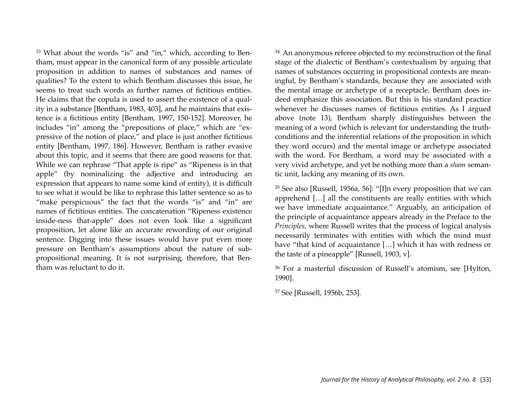<span id="page-33-0"></span>33 What about the words "is" and "in," which, according to Bentham, must appear in the canonical form of any possible articulate proposition in addition to names of substances and names of qualities? To the extent to which Bentham discusses this issue, he seems to treat such words as further names of fictitious entities. He claims that the copula is used to assert the existence of a quality in a substance [Bentham, 1983, 403], and he maintains that existence is a fictitious entity [Bentham, 1997, 150-152]. Moreover, he includes "in" among the "prepositions of place," which are "expressive of the notion of place," and place is just another fictitious entity [Bentham, 1997, 186]. However, Bentham is rather evasive about this topic, and it seems that there are good reasons for that. While we can rephrase "That apple is ripe" as "Ripeness is in that apple" (by nominalizing the adjective and introducing an expression that appears to name some kind of entity), it is difficult to see what it would be like to rephrase this latter sentence so as to "make perspicuous" the fact that the words "is" and "in" are names of fictitious entities. The concatenation "Ripeness existence inside-ness that-apple" does not even look like a significant proposition, let alone like an accurate rewording of our original sentence. Digging into these issues would have put even more pressure on Bentham's assumptions about the nature of subpropositional meaning. It is not surprising, therefore, that Bentham was reluctant to do it.

<span id="page-33-1"></span><sup>34</sup> An anonymous referee objected to my reconstruction of the final stage of the dialectic of Bentham's contextualism by arguing that names of substances occurring in propositional contexts are meaningful, by Bentham's standards, because they are associated with the mental image or archetype of a receptacle. Bentham does indeed emphasize this association. But this is his standard practice whenever he discusses names of fictitious entities. As I argued above (note 13), Bentham sharply distinguishes between the meaning of a word (which is relevant for understanding the truthconditions and the inferential relations of the proposition in which they word occurs) and the mental image or archetype associated with the word. For Bentham, a word may be associated with a very vivid archetype, and yet be nothing more than a *sham* semantic unit, lacking any meaning of its own.

<span id="page-33-2"></span>35 See also [Russell, 1956a, 56]: "[I]n every proposition that we can apprehend […] all the constituents are really entities with which we have immediate acquaintance." Arguably, an anticipation of the principle of acquaintance appears already in the Preface to the *Principles*, where Russell writes that the process of logical analysis necessarily terminates with entities with which the mind must have "that kind of acquaintance […] which it has with redness or the taste of a pineapple" [Russell, 1903, v].

<span id="page-33-3"></span>36 For a masterful discussion of Russell's atomism, see [Hylton, 1990].

<span id="page-33-4"></span>37 See [Russell, 1956b, 253].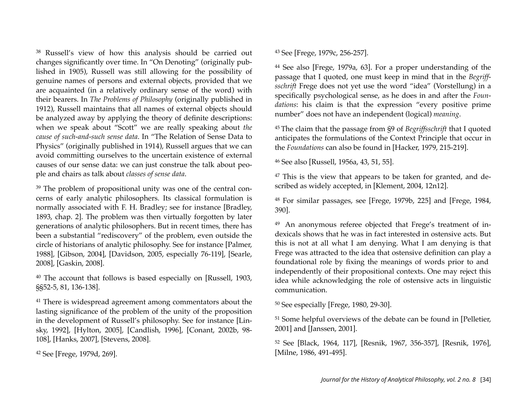<span id="page-34-0"></span>38 Russell's view of how this analysis should be carried out changes significantly over time. In "On Denoting" (originally published in 1905), Russell was still allowing for the possibility of genuine names of persons and external objects, provided that we are acquainted (in a relatively ordinary sense of the word) with their bearers. In *The Problems of Philosophy* (originally published in 1912), Russell maintains that all names of external objects should be analyzed away by applying the theory of definite descriptions: when we speak about "Scott" we are really speaking about *the cause of such-and-such sense data*. In "The Relation of Sense Data to Physics" (originally published in 1914), Russell argues that we can avoid committing ourselves to the uncertain existence of external causes of our sense data: we can just construe the talk about people and chairs as talk about *classes of sense data*.

<span id="page-34-1"></span>39 The problem of propositional unity was one of the central concerns of early analytic philosophers. Its classical formulation is normally associated with F. H. Bradley; see for instance [Bradley, 1893, chap. 2]. The problem was then virtually forgotten by later generations of analytic philosophers. But in recent times, there has been a substantial "rediscovery" of the problem, even outside the circle of historians of analytic philosophy. See for instance [Palmer, 1988], [Gibson, 2004], [Davidson, 2005, especially 76-119], [Searle, 2008], [Gaskin, 2008].

<span id="page-34-2"></span>40 The account that follows is based especially on [Russell, 1903, §§52-5, 81, 136-138].

<span id="page-34-3"></span>41 There is widespread agreement among commentators about the lasting significance of the problem of the unity of the proposition in the development of Russell's philosophy. See for instance [Linsky, 1992], [Hylton, 2005], [Candlish, 1996], [Conant, 2002b, 98- 108], [Hanks, 2007], [Stevens, 2008].

<span id="page-34-4"></span>42 See [Frege, 1979d, 269].

<span id="page-34-5"></span>43 See [Frege, 1979c, 256-257].

<span id="page-34-6"></span>44 See also [Frege, 1979a, 63]. For a proper understanding of the passage that I quoted, one must keep in mind that in the *Begriffsschrift* Frege does not yet use the word "idea" (Vorstellung) in a specifically psychological sense, as he does in and after the *Foundations*: his claim is that the expression "every positive prime number" does not have an independent (logical) *meaning*.

<span id="page-34-7"></span><sup>45</sup> The claim that the passage from §9 of *Begriffsschrift* that I quoted anticipates the formulations of the Context Principle that occur in the *Foundations* can also be found in [Hacker, 1979, 215-219].

<span id="page-34-8"></span>46 See also [Russell, 1956a, 43, 51, 55].

<span id="page-34-9"></span>47 This is the view that appears to be taken for granted, and described as widely accepted, in [Klement, 2004, 12n12].

<span id="page-34-10"></span>48 For similar passages, see [Frege, 1979b, 225] and [Frege, 1984, 390].

<span id="page-34-11"></span>49 An anonymous referee objected that Frege's treatment of indexicals shows that he was in fact interested in ostensive acts. But this is not at all what I am denying. What I am denying is that Frege was attracted to the idea that ostensive definition can play a foundational role by fixing the meanings of words prior to and independently of their propositional contexts. One may reject this idea while acknowledging the role of ostensive acts in linguistic communication.

<span id="page-34-12"></span>50 See especially [Frege, 1980, 29-30].

<span id="page-34-13"></span>51 Some helpful overviews of the debate can be found in [Pelletier, 2001] and [Janssen, 2001].

<span id="page-34-14"></span>52 See [Black, 1964, 117], [Resnik, 1967, 356-357], [Resnik, 1976], [Milne, 1986, 491-495].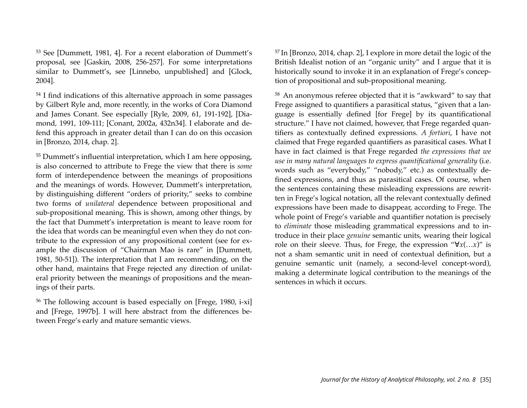<span id="page-35-0"></span>53 See [Dummett, 1981, 4]. For a recent elaboration of Dummett's proposal, see [Gaskin, 2008, 256-257]. For some interpretations similar to Dummett's, see [Linnebo, unpublished] and [Glock, 2004].

<span id="page-35-1"></span>54 I find indications of this alternative approach in some passages by Gilbert Ryle and, more recently, in the works of Cora Diamond and James Conant. See especially [Ryle, 2009, 61, 191-192], [Diamond, 1991, 109-111; [Conant, 2002a, 432n34]. I elaborate and defend this approach in greater detail than I can do on this occasion in [Bronzo, 2014, chap. 2].

<span id="page-35-2"></span>55 Dummett's influential interpretation, which I am here opposing, is also concerned to attribute to Frege the view that there is *some*  form of interdependence between the meanings of propositions and the meanings of words. However, Dummett's interpretation, by distinguishing different "orders of priority," seeks to combine two forms of *unilateral* dependence between propositional and sub-propositional meaning. This is shown, among other things, by the fact that Dummett's interpretation is meant to leave room for the idea that words can be meaningful even when they do not contribute to the expression of any propositional content (see for example the discussion of "Chairman Mao is rare" in [Dummett, 1981, 50-51]). The interpretation that I am recommending, on the other hand, maintains that Frege rejected any direction of unilateral priority between the meanings of propositions and the meanings of their parts.

<span id="page-35-3"></span>56 The following account is based especially on [Frege, 1980, i-xi] and [Frege, 1997b]. I will here abstract from the differences between Frege's early and mature semantic views.

<span id="page-35-4"></span><sup>57</sup> In [Bronzo, 2014, chap. 2], I explore in more detail the logic of the British Idealist notion of an "organic unity" and I argue that it is historically sound to invoke it in an explanation of Frege's conception of propositional and sub-propositional meaning.

<span id="page-35-5"></span>58 An anonymous referee objected that it is "awkward" to say that Frege assigned to quantifiers a parasitical status, "given that a language is essentially defined [for Frege] by its quantificational structure." I have not claimed, however, that Frege regarded quantifiers as contextually defined expressions. *A fortiori*, I have not claimed that Frege regarded quantifiers as parasitical cases. What I have in fact claimed is that Frege regarded *the expressions that we use in many natural languages to express quantificational generality* (i.e. words such as "everybody," "nobody," etc.) as contextually defined expressions, and thus as parasitical cases. Of course, when the sentences containing these misleading expressions are rewritten in Frege's logical notation, all the relevant contextually defined expressions have been made to disappear, according to Frege. The whole point of Frege's variable and quantifier notation is precisely to *eliminate* those misleading grammatical expressions and to introduce in their place *genuine* semantic units, wearing their logical role on their sleeve. Thus, for Frege, the expression "∀*x*(…*x*)" is not a sham semantic unit in need of contextual definition, but a genuine semantic unit (namely, a second-level concept-word), making a determinate logical contribution to the meanings of the sentences in which it occurs.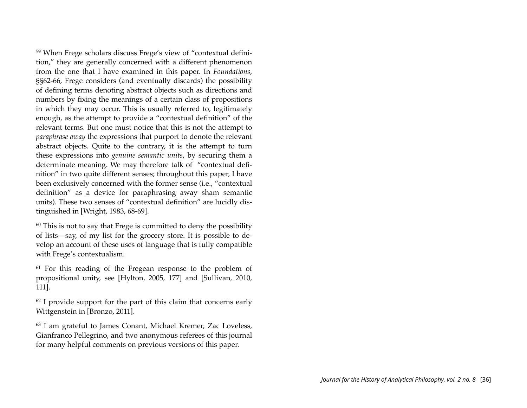<span id="page-36-0"></span>59 When Frege scholars discuss Frege's view of "contextual definition," they are generally concerned with a different phenomenon from the one that I have examined in this paper. In *Foundations*, §§62-66, Frege considers (and eventually discards) the possibility of defining terms denoting abstract objects such as directions and numbers by fixing the meanings of a certain class of propositions in which they may occur. This is usually referred to, legitimately enough, as the attempt to provide a "contextual definition" of the relevant terms. But one must notice that this is not the attempt to *paraphrase away* the expressions that purport to denote the relevant abstract objects. Quite to the contrary, it is the attempt to turn these expressions into *genuine semantic units*, by securing them a determinate meaning. We may therefore talk of "contextual definition" in two quite different senses; throughout this paper, I have been exclusively concerned with the former sense (i.e., "contextual definition" as a device for paraphrasing away sham semantic units). These two senses of "contextual definition" are lucidly distinguished in [Wright, 1983, 68-69].

<span id="page-36-1"></span> $60$  This is not to say that Frege is committed to deny the possibility of lists—say, of my list for the grocery store. It is possible to develop an account of these uses of language that is fully compatible with Frege's contextualism.

<span id="page-36-2"></span>61 For this reading of the Fregean response to the problem of propositional unity, see [Hylton, 2005, 177] and [Sullivan, 2010, 111].

<span id="page-36-3"></span> $62$  I provide support for the part of this claim that concerns early Wittgenstein in [Bronzo, 2011].

<span id="page-36-4"></span>63 I am grateful to James Conant, Michael Kremer, Zac Loveless, Gianfranco Pellegrino, and two anonymous referees of this journal for many helpful comments on previous versions of this paper.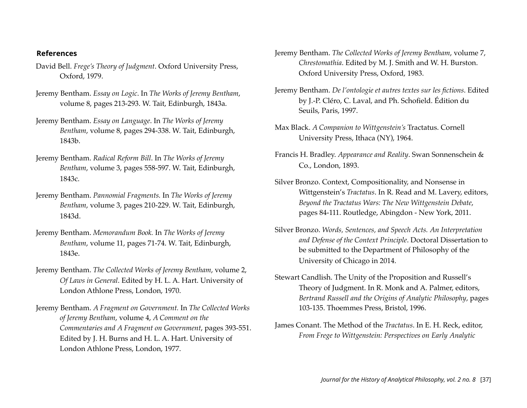#### **References**

- David Bell. *Frege's Theory of Judgment*. Oxford University Press, Oxford, 1979.
- Jeremy Bentham. *Essay on Logic*. In *The Works of Jeremy Bentham*, volume 8, pages 213-293. W. Tait, Edinburgh, 1843a.
- Jeremy Bentham. *Essay on Language*. In *The Works of Jeremy Bentham*, volume 8, pages 294-338. W. Tait, Edinburgh, 1843b.
- Jeremy Bentham. *Radical Reform Bill*. In *The Works of Jeremy Bentham*, volume 3, pages 558-597. W. Tait, Edinburgh, 1843c.
- Jeremy Bentham. *Pannomial Fragments.* In *The Works of Jeremy Bentham*, volume 3, pages 210-229. W. Tait, Edinburgh, 1843d.
- Jeremy Bentham. *Memorandum Book.* In *The Works of Jeremy Bentham*, volume 11, pages 71-74. W. Tait, Edinburgh, 1843e.
- Jeremy Bentham. *The Collected Works of Jeremy Bentham*, volume 2, *Of Laws in General*. Edited by H. L. A. Hart. University of London Athlone Press, London, 1970.
- Jeremy Bentham. *A Fragment on Government.* In *The Collected Works of Jeremy Bentham*, volume 4, *A Comment on the Commentaries and A Fragment on Government*, pages 393-551. Edited by J. H. Burns and H. L. A. Hart. University of London Athlone Press, London, 1977.
- Jeremy Bentham. *The Collected Works of Jeremy Bentham*, volume 7, *Chrestomathia*. Edited by M. J. Smith and W. H. Burston. Oxford University Press, Oxford, 1983.
- Jeremy Bentham. *De l'ontologie et autres textes sur les fictions*. Edited by J.-P. Cléro, C. Laval, and Ph. Schofield. Édition du Seuils, Paris, 1997.
- Max Black. *A Companion to Wittgenstein's* Tractatus. Cornell University Press, Ithaca (NY), 1964.
- Francis H. Bradley. *Appearance and Reality*. Swan Sonnenschein & Co., London, 1893.
- Silver Bronzo. Context, Compositionality, and Nonsense in Wittgenstein's *Tractatus*. In R. Read and M. Lavery, editors, *Beyond the Tractatus Wars: The New Wittgenstein Debate*, pages 84-111. Routledge, Abingdon - New York, 2011.
- Silver Bronzo. *Words, Sentences, and Speech Acts. An Interpretation and Defense of the Context Principle*. Doctoral Dissertation to be submitted to the Department of Philosophy of the University of Chicago in 2014.
- Stewart Candlish. The Unity of the Proposition and Russell's Theory of Judgment. In R. Monk and A. Palmer, editors, *Bertrand Russell and the Origins of Analytic Philosophy*, pages 103-135. Thoemmes Press, Bristol, 1996.
- James Conant. The Method of the *Tractatus*. In E. H. Reck, editor, *From Frege to Wittgenstein: Perspectives on Early Analytic*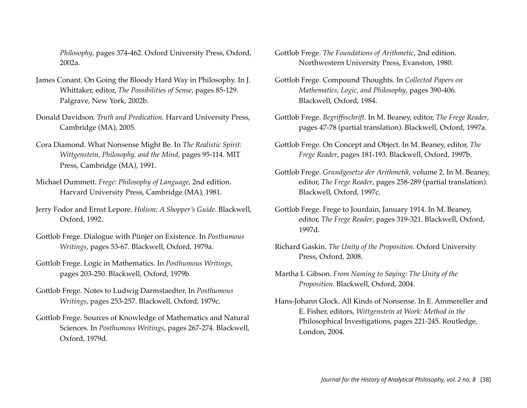*Philosophy*, pages 374-462. Oxford University Press, Oxford, 2002a.

- James Conant. On Going the Bloody Hard Way in Philosophy. In J. Whittaker, editor, *The Possibilities of Sense*, pages 85-129. Palgrave, New York, 2002b.
- Donald Davidson. *Truth and Predication*. Harvard University Press, Cambridge (MA), 2005.
- Cora Diamond. What Nonsense Might Be. In *The Realistic Spirit: Wittgenstein, Philosophy, and the Mind*, pages 95-114. MIT Press, Cambridge (MA), 1991.
- Michael Dummett. *Frege: Philosophy of Language*, 2nd edition. Harvard University Press, Cambridge (MA), 1981.
- Jerry Fodor and Ernst Lepore. *Holism: A Shopper's Guide*. Blackwell, Oxford, 1992.
- Gottlob Frege. Dialogue with Pünjer on Existence. In *Posthumous Writings*, pages 53-67. Blackwell, Oxford, 1979a.
- Gottlob Frege. Logic in Mathematics. In *Posthumous Writings*, pages 203-250. Blackwell, Oxford, 1979b.
- Gottlob Frege. Notes to Ludwig Darmstaedter. In *Posthumous Writings*, pages 253-257. Blackwell, Oxford, 1979c.
- Gottlob Frege. Sources of Knowledge of Mathematics and Natural Sciences. In *Posthumous Writings*, pages 267-274. Blackwell, Oxford, 1979d.
- Gottlob Frege. *The Foundations of Arithmetic*, 2nd edition. Northwestern University Press, Evanston, 1980.
- Gottlob Frege. Compound Thoughts. In *Collected Papers on Mathematics, Logic, and Philosophy*, pages 390-406. Blackwell, Oxford, 1984.
- Gottlob Frege. *Begriffsschrift*. In M. Beaney, editor, *The Frege Reader*, pages 47-78 (partial translation). Blackwell, Oxford, 1997a.
- Gottlob Frege. On Concept and Object. In M. Beaney, editor, *The Frege Reader*, pages 181-193. Blackwell, Oxford, 1997b.
- Gottlob Frege. *Grundgesetze der Arithmetik*, volume 2. In M. Beaney, editor, *The Frege Reader*, pages 258-289 (partial translation). Blackwell, Oxford, 1997c.
- Gottlob Frege. Frege to Jourdain, January 1914. In M. Beaney, editor, *The Frege Reader*, pages 319-321. Blackwell, Oxford, 1997d.
- Richard Gaskin. *The Unity of the Proposition*. Oxford University Press, Oxford, 2008.
- Martha I. Gibson. *From Naming to Saying: The Unity of the Proposition*. Blackwell, Oxford, 2004.
- Hans-Johann Glock. All Kinds of Nonsense. In E. Ammereller and E. Fisher, editors, *Wittgenstein at Work: Method in the*  Philosophical Investigations, pages 221-245. Routledge, London, 2004.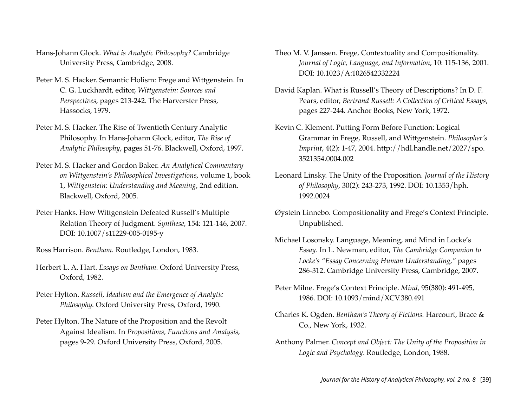- Hans-Johann Glock. *What is Analytic Philosophy?* Cambridge University Press, Cambridge, 2008.
- Peter M. S. Hacker. Semantic Holism: Frege and Wittgenstein. In C. G. Luckhardt, editor, *Wittgenstein: Sources and Perspectives*, pages 213-242. The Harverster Press, Hassocks, 1979.
- Peter M. S. Hacker. The Rise of Twentieth Century Analytic Philosophy. In Hans-Johann Glock, editor, *The Rise of Analytic Philosophy*, pages 51-76. Blackwell, Oxford, 1997.
- Peter M. S. Hacker and Gordon Baker. *An Analytical Commentary on Wittgenstein's Philosophical Investigations*, volume 1, book 1, *Wittgenstein: Understanding and Meaning*, 2nd edition. Blackwell, Oxford, 2005.
- Peter Hanks. How Wittgenstein Defeated Russell's Multiple Relation Theory of Judgment. *Synthese*, 154: 121-146, 2007. DOI: 10.1007/s11229-005-0195-y
- Ross Harrison. *Bentham.* Routledge, London, 1983.
- Herbert L. A. Hart. *Essays on Bentham.* Oxford University Press, Oxford, 1982.
- Peter Hylton. *Russell, Idealism and the Emergence of Analytic Philosophy.* Oxford University Press, Oxford, 1990.
- Peter Hylton. The Nature of the Proposition and the Revolt Against Idealism. In *Propositions, Functions and Analysis*, pages 9-29. Oxford University Press, Oxford, 2005.
- Theo M. V. Janssen. Frege, Contextuality and Compositionality. *Journal of Logic, Language, and Information*, 10: 115-136, 2001. DOI: 10.1023/A:1026542332224
- David Kaplan. What is Russell's Theory of Descriptions? In D. F. Pears, editor, *Bertrand Russell: A Collection of Critical Essays*, pages 227-244. Anchor Books, New York, 1972.
- Kevin C. Klement. Putting Form Before Function: Logical Grammar in Frege, Russell, and Wittgenstein. *Philosopher's Imprint*, 4(2): 1-47, 2004. http://hdl.handle.net/2027/spo. 3521354.0004.002
- Leonard Linsky. The Unity of the Proposition. *Journal of the History of Philosophy*, 30(2): 243-273, 1992. DOI: 10.1353/hph. 1992.0024
- Øystein Linnebo. Compositionality and Frege's Context Principle. Unpublished.
- Michael Losonsky. Language, Meaning, and Mind in Locke's *Essay*. In L. Newman, editor, *The Cambridge Companion to Locke's "Essay Concerning Human Understanding*,*"* pages 286-312. Cambridge University Press, Cambridge, 2007.
- Peter Milne. Frege's Context Principle. *Mind*, 95(380): 491-495, 1986. DOI: 10.1093/mind/XCV.380.491
- Charles K. Ogden. *Bentham's Theory of Fictions.* Harcourt, Brace & Co., New York, 1932.
- Anthony Palmer. *Concept and Object: The Unity of the Proposition in Logic and Psychology*. Routledge, London, 1988.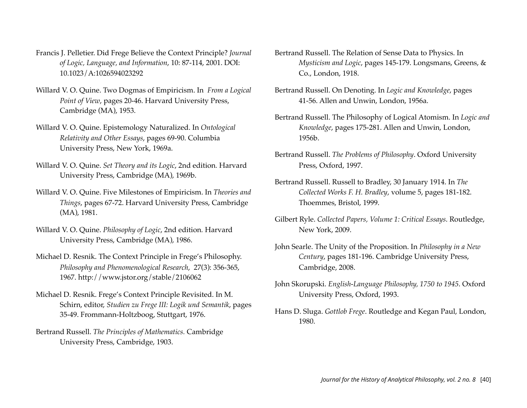- Francis J. Pelletier. Did Frege Believe the Context Principle? *Journal of Logic, Language, and Information*, 10: 87-114, 2001. DOI: 10.1023/A:1026594023292
- Willard V. O. Quine. Two Dogmas of Empiricism. In *From a Logical Point of View*, pages 20-46. Harvard University Press, Cambridge (MA), 1953.
- Willard V. O. Quine. Epistemology Naturalized. In *Ontological Relativity and Other Essays*, pages 69-90. Columbia University Press, New York, 1969a.
- Willard V. O. Quine. *Set Theory and its Logic*, 2nd edition*.* Harvard University Press, Cambridge (MA), 1969b.
- Willard V. O. Quine. Five Milestones of Empiricism. In *Theories and Things*, pages 67-72. Harvard University Press, Cambridge (MA), 1981.
- Willard V. O. Quine. *Philosophy of Logic*, 2nd edition*.* Harvard University Press, Cambridge (MA), 1986.
- Michael D. Resnik. The Context Principle in Frege's Philosophy. *Philosophy and Phenomenological Research*, 27(3): 356-365, 1967. http://www.jstor.org/stable/2106062
- Michael D. Resnik. Frege's Context Principle Revisited. In M. Schirn, editor, *Studien zu Frege III: Logik und Semantik*, pages 35-49. Frommann-Holtzboog, Stuttgart, 1976.
- Bertrand Russell. *The Principles of Mathematics.* Cambridge University Press, Cambridge, 1903.
- Bertrand Russell. The Relation of Sense Data to Physics. In *Mysticism and Logic*, pages 145-179. Longsmans, Greens, & Co., London, 1918.
- Bertrand Russell. On Denoting. In *Logic and Knowledge*, pages 41-56. Allen and Unwin, London, 1956a.
- Bertrand Russell. The Philosophy of Logical Atomism. In *Logic and Knowledge*, pages 175-281. Allen and Unwin, London, 1956b.
- Bertrand Russell. *The Problems of Philosophy*. Oxford University Press, Oxford, 1997.
- Bertrand Russell. Russell to Bradley, 30 January 1914. In *The Collected Works F. H. Bradley*, volume 5, pages 181-182. Thoemmes, Bristol, 1999.
- Gilbert Ryle. *Collected Papers, Volume 1: Critical Essays*. Routledge, New York, 2009.
- John Searle. The Unity of the Proposition. In *Philosophy in a New Century*, pages 181-196. Cambridge University Press, Cambridge, 2008.
- John Skorupski. *English-Language Philosophy, 1750 to 1945*. Oxford University Press, Oxford, 1993.
- Hans D. Sluga. *Gottlob Frege*. Routledge and Kegan Paul, London, 1980.